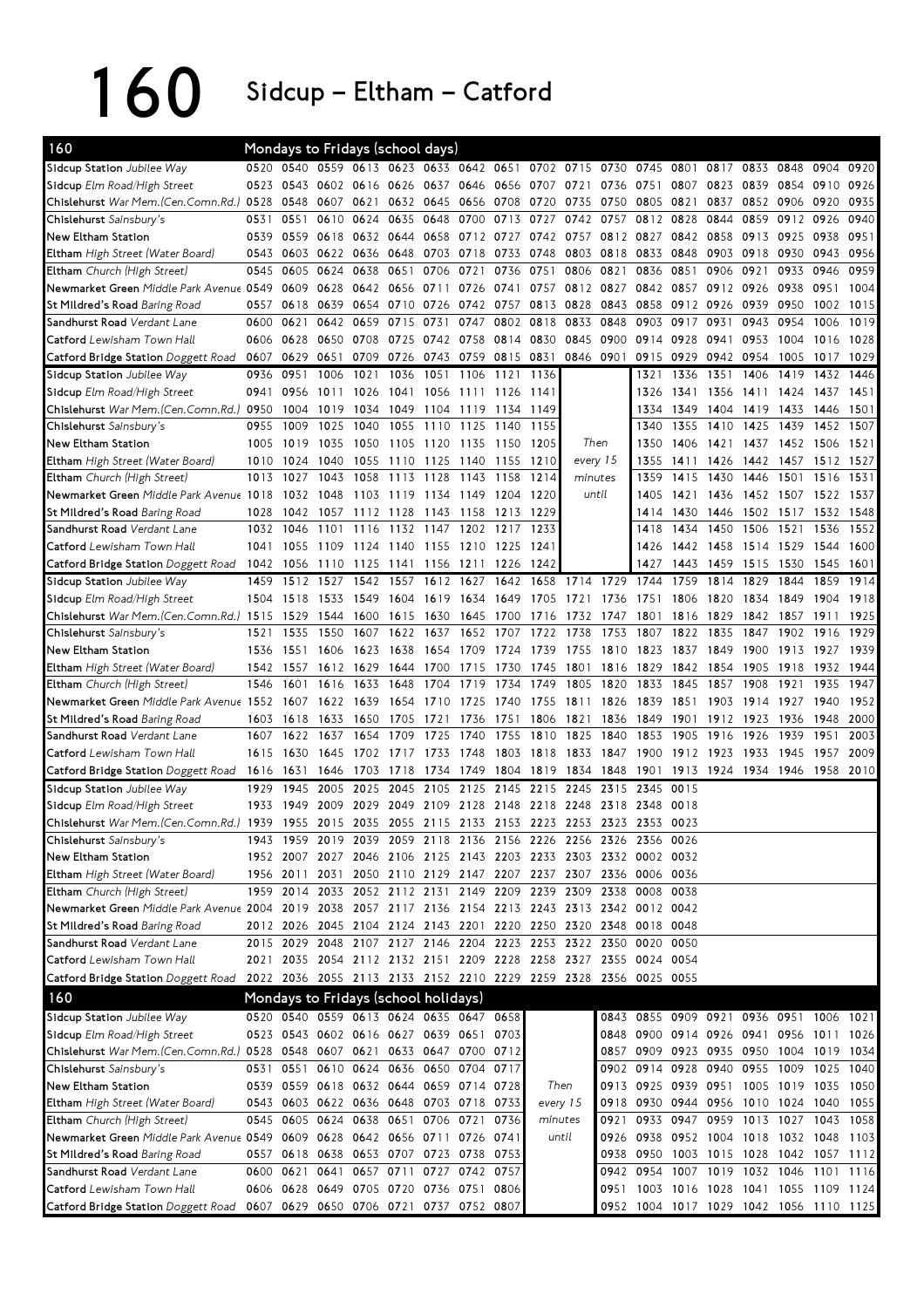160 Sidcup – Eltham – Catford

| 160                                                                                                 |      |                     |      |      | Mondays to Fridays (school days)        |                |           |                                                                  |         |          |                |      |                                         |           |           |                     |           |      |
|-----------------------------------------------------------------------------------------------------|------|---------------------|------|------|-----------------------------------------|----------------|-----------|------------------------------------------------------------------|---------|----------|----------------|------|-----------------------------------------|-----------|-----------|---------------------|-----------|------|
| Sidcup Station Jubilee Way                                                                          | 0520 | 0540                |      |      |                                         |                |           | 0559 0613 0623 0633 0642 0651 0702 0715 0730                     |         |          |                | 0745 | 0801                                    |           | 0817 0833 | 0848                | 0904      | 0920 |
| Sidcup Elm Road/High Street                                                                         | 0523 | 0543                | 0602 | 0616 |                                         | 0626 0637      | 0646      | 0656 0707                                                        |         | 0721     | 0736           | 0751 | 0807                                    | 0823      | 0839      | 0854                | 0910      | 0926 |
| Chislehurst War Mem. (Cen. Comn. Rd.) 0528                                                          |      | 0548                | 0607 | 0621 |                                         | 0632 0645      | 0656      | 0708                                                             | 0720    | 0735     | 0750           | 0805 | 0821                                    | 0837      | 0852 0906 |                     | 0920      | 0935 |
| Chislehurst Sainsbury's                                                                             | 0531 | 0551                | 0610 | 0624 | 0635                                    | 0648           | 0700      | 0713                                                             | 0727    | 0742     | 0757           | 0812 | 0828                                    | 0844      | 0859      | 0912                | 0926      | 0940 |
| New Eltham Station                                                                                  | 0539 | 0559                | 0618 | 0632 | 0644                                    | 0658           | 0712      | 0727                                                             | 0742    |          | 0757 0812 0827 |      | 0842                                    | 0858      | 0913      | 0925                | 0938      | 0951 |
| Eltham High Street (Water Board)                                                                    | 0543 | 0603                | 0622 | 0636 | 0648                                    | 0703           | 0718      | 0733                                                             | 0748    | 0803     | 0818           | 0833 | 0848                                    | 0903      | 0918      | 0930                | 0943      | 0956 |
| Eltham Church (High Street)                                                                         | 0545 | 0605                | 0624 | 0638 | 0651                                    | 0706           | 0721      | 0736                                                             | 0751    | 0806     | 0821           | 0836 | 0851                                    | 0906      | 0921      | 0933                | 0946      | 0959 |
| Newmarket Green Middle Park Avenue 0549                                                             |      | 0609                | 0628 | 0642 |                                         | 0656 0711      | 0726      | 0741                                                             | 0757    | 0812     | 0827           | 0842 | 0857                                    | 0912 0926 |           | 0938                | 0951      | 1004 |
| St Mildred's Road Baring Road                                                                       | 0557 | 0618                | 0639 | 0654 | 0710                                    | 0726           | 0742      | 0757                                                             | 0813    | 0828     | 0843           | 0858 | 0912                                    | 0926      | 0939      | 0950                | 1002      | 1015 |
| Sandhurst Road Verdant Lane                                                                         | 0600 | 0621                | 0642 | 0659 | 0715                                    | 0731           | 0747      | 0802                                                             | 0818    | 0833     | 0848           | 0903 | 0917                                    | 0931      | 0943      | 0954                | 1006      | 1019 |
| Catford Lewisham Town Hall                                                                          | 0606 | 0628                | 0650 | 0708 | 0725                                    | 0742           | 0758      | 0814 0830                                                        |         | 0845     | 0900           | 0914 | 0928                                    | 0941      | 0953      | 1004                | 1016      | 1028 |
| Catford Bridge Station Doggett Road                                                                 | 0607 | 0629                | 0651 | 0709 | 0726                                    | 0743           | 0759      | 0815 0831                                                        |         | 0846     | 0901           | 0915 | 0929                                    | 0942      | 0954      | 1005                | 1017      | 1029 |
| Sidcup Station Jubilee Way                                                                          | 0936 | 0951                | 1006 | 1021 | 1036                                    | 1051           | 1106      | 1121                                                             | 1136    |          |                | 1321 | 1336                                    | 1351      | 1406      | 1419                | 1432      | 1446 |
| Sidcup Elm Road/High Street                                                                         | 0941 | 0956                | 1011 | 1026 | 1041                                    | 1056           | 1111      | 1126 1141                                                        |         |          |                | 1326 | 1341                                    | 1356      | 1411      | 1424 1437           |           | 1451 |
| Chislehurst War Mem. (Cen. Comn. Rd.) 0950                                                          |      | 1004                | 1019 | 1034 |                                         | 1049 1104 1119 |           | 1134                                                             | 1149    |          |                | 1334 | 1349                                    | 1404 1419 |           | 1433                | 1446      | 1501 |
| Chislehurst Sainsbury's                                                                             | 0955 | 1009                | 1025 | 1040 | 1055                                    | 1110           | 1125      | 1140                                                             | 1155    |          |                | 1340 | 1355                                    | 1410      | 1425      | 1439                | 1452      | 1507 |
| New Eltham Station                                                                                  | 1005 | 1019                | 1035 | 1050 | 1105 1120                               |                | 1135      | 1150                                                             | 1205    | Then     |                | 1350 | 1406                                    | 1421      | 1437      | 1452 1506           |           | 1521 |
| Eltham High Street (Water Board)                                                                    | 1010 | 1024                | 1040 | 1055 | 1110                                    | 1125           | 1140      | 1155                                                             | 1210    | every 15 |                | 1355 | 1411                                    | 1426      | 1442      | 1457                | 1512      | 1527 |
| Eltham Church (High Street)                                                                         | 1013 | 1027                | 1043 | 1058 | 1113                                    | 1128           | 1143      | 1158                                                             | 1214    | minutes  |                | 1359 | 1415                                    | 1430      | 1446      | 1501                | 1516      | 1531 |
| Newmarket Green Middle Park Avenue 1018                                                             |      | 1032 1048           |      | 1103 | 1119                                    | 1134           | 1149      | 1204 1220                                                        |         | until    |                | 1405 | 1421                                    | 1436      |           | 1452 1507 1522      |           | 1537 |
| St Mildred's Road Baring Road                                                                       | 1028 | 1042                | 1057 | 1112 | 1128                                    | 1143           | 1158      | 1213                                                             | 1229    |          |                | 1414 | 1430                                    | 1446      | 1502 1517 |                     | 1532 1548 |      |
| Sandhurst Road Verdant Lane                                                                         | 1032 | 1046                | 1101 | 1116 | 1132                                    | 1147           | 1202      | 1217                                                             | 1233    |          |                | 1418 | 1434                                    | 1450      | 1506      | 1521                | 1536      | 1552 |
| Catford Lewisham Town Hall                                                                          | 1041 | 1055                | 1109 | 1124 | 1140                                    | 1155           | 1210      | 1225                                                             | 1241    |          |                | 1426 | 1442                                    | 1458      | 1514      | 1529                | 1544      | 1600 |
| Catford Bridge Station Doggett Road                                                                 | 1042 | 1056                | 1110 | 1125 | 1141                                    | 1156           | 1211      | 1226                                                             | 1242    |          |                | 1427 | 1443                                    | 1459      | 1515      | 1530                | 1545      | 1601 |
| Sidcup Station Jubilee Way                                                                          | 1459 | 1512                | 1527 | 1542 | 1557                                    | 1612           | 1627      | 1642                                                             | 1658    | 1714     | 1729           | 1744 | 1759                                    | 1814      | 1829      | 1844                | 1859      | 1914 |
| Sidcup Elm Road/High Street                                                                         | 1504 | 1518                | 1533 | 1549 | 1604                                    | 1619           | 1634      | 1649                                                             | 1705    | 1721     | 1736           | 1751 | 1806                                    | 1820      | 1834      | 1849                | 1904      | 1918 |
| Chislehurst War Mem. (Cen. Comn. Rd.) 1515                                                          |      | 1529                | 1544 | 1600 | 1615                                    | 1630           | 1645      | 1700                                                             | 1716    | 1732     | 1747           | 1801 | 1816                                    | 1829      | 1842      | 1857                | 1911      | 1925 |
| Chislehurst Sainsbury's                                                                             | 1521 | 1535                | 1550 | 1607 | 1622 1637                               |                |           | 1652 1707                                                        | 1722    | 1738     | 1753           | 1807 | 1822                                    | 1835      | 1847      | 1902                | 1916      | 1929 |
| New Eltham Station                                                                                  | 1536 | 1551                | 1606 | 1623 | 1638                                    | 1654           | 1709      | 1724                                                             | 1739    | 1755     | 1810           | 1823 | 1837                                    | 1849      | 1900      | 1913                | 1927      | 1939 |
| Eltham High Street (Water Board)                                                                    | 1542 | 1557                | 1612 | 1629 | 1644                                    | 1700           | 1715      | 1730                                                             | 1745    | 1801     | 1816           | 1829 | 1842                                    | 1854      | 1905      | 1918                | 1932      | 1944 |
| Eltham Church (High Street)                                                                         | 1546 | 1601                | 1616 | 1633 | 1648                                    | 1704           | 1719      | 1734                                                             | 1749    | 1805     | 1820           | 1833 | 1845                                    | 1857      | 1908      | 1921                | 1935      | 1947 |
| Newmarket Green Middle Park Avenue 1552                                                             |      | 1607                | 1622 | 1639 | 1654                                    | 1710           | 1725      | 1740                                                             | 1755    | 1811     | 1826           | 1839 | 1851                                    | 1903      | 1914      | 1927                | 1940      | 1952 |
| St Mildred's Road Baring Road                                                                       | 1603 | 1618                | 1633 | 1650 | 1705                                    | 1721           | 1736      | 1751                                                             | 1806    | 1821     | 1836           | 1849 | 1901                                    | 1912      | 1923      | 1936                | 1948      | 2000 |
| Sandhurst Road Verdant Lane                                                                         | 1607 | 1622                | 1637 | 1654 | 1709                                    | 1725           | 1740      | 1755                                                             | 1810    | 1825     | 1840           | 1853 | 1905                                    | 1916      | 1926      | 1939                | 1951      | 2003 |
| Catford Lewisham Town Hall                                                                          | 1615 | 1630                | 1645 | 1702 | 1717                                    | 1733           | 1748      | 1803                                                             | 1818    | 1833     | 1847           | 1900 | 1912                                    | 1923      | 1933      | 1945                | 1957      | 2009 |
| Catford Bridge Station Doggett Road                                                                 | 1616 | 1631                | 1646 | 1703 | 1718                                    | 1734           | 1749      | 1804                                                             | 1819    | 1834     | 1848           | 1901 | 1913                                    | 1924      | 1934      | 1946                | 1958      | 2010 |
| Sidcup Station Jubilee Way                                                                          | 1929 | 1945                | 2005 | 2025 | 2045                                    | 2105           | 2125      | 2145                                                             | 2215    | 2245     | 2315           | 2345 | 0015                                    |           |           |                     |           |      |
| Sidcup Elm Road/High Street                                                                         | 1933 | 1949                | 2009 | 2029 | 2049                                    | 2109           | 2128      | 2148                                                             | 2218    | 2248     | 2318           | 2348 | 0018                                    |           |           |                     |           |      |
| Chislehurst War Mem. (Cen. Comn. Rd.)                                                               | 1939 |                     |      |      |                                         |                |           | 1955 2015 2035 2055 2115 2133 2153 2223 2253 2323 2353           |         |          |                |      | 0023                                    |           |           |                     |           |      |
| Chislehurst Sainsbury's                                                                             |      |                     |      |      |                                         |                |           | 1943 1959 2019 2039 2059 2118 2136 2156 2226 2256 2326 2356 0026 |         |          |                |      |                                         |           |           |                     |           |      |
| New Eltham Station                                                                                  |      |                     |      |      |                                         |                |           | 1952 2007 2027 2046 2106 2125 2143 2203 2233 2303 2332 0002 0032 |         |          |                |      |                                         |           |           |                     |           |      |
| Eltham High Street (Water Board)                                                                    |      | 1956 2011           |      |      |                                         |                |           | 2031 2050 2110 2129 2147 2207 2237 2307 2336 0006 0036           |         |          |                |      |                                         |           |           |                     |           |      |
| Eltham Church (High Street)                                                                         |      |                     |      |      |                                         |                |           | 1959 2014 2033 2052 2112 2131 2149 2209 2239 2309 2338 0008 0038 |         |          |                |      |                                         |           |           |                     |           |      |
| Newmarket Green Middle Park Avenue 2004 2019 2038 2057 2117 2136 2154 2213 2243 2313 2342 0012 0042 |      |                     |      |      |                                         |                |           |                                                                  |         |          |                |      |                                         |           |           |                     |           |      |
| St Mildred's Road Baring Road                                                                       |      |                     |      |      |                                         |                |           | 2012 2026 2045 2104 2124 2143 2201 2220 2250 2320 2348 0018 0048 |         |          |                |      |                                         |           |           |                     |           |      |
| Sandhurst Road Verdant Lane                                                                         |      |                     |      |      |                                         |                |           | 2015 2029 2048 2107 2127 2146 2204 2223 2253 2322 2350 0020      |         |          |                |      | 0050                                    |           |           |                     |           |      |
| Catford Lewisham Town Hall                                                                          |      |                     |      |      |                                         |                |           | 2021 2035 2054 2112 2132 2151 2209 2228 2258 2327 2355 0024 0054 |         |          |                |      |                                         |           |           |                     |           |      |
| Catford Bridge Station Doggett Road                                                                 |      |                     |      |      |                                         |                |           | 2022 2036 2055 2113 2133 2152 2210 2229 2259 2328 2356 0025 0055 |         |          |                |      |                                         |           |           |                     |           |      |
| 160                                                                                                 |      |                     |      |      | Mondays to Fridays (school holidays)    |                |           |                                                                  |         |          |                |      |                                         |           |           |                     |           |      |
| Sidcup Station Jubilee Way                                                                          |      |                     |      |      | 0520 0540 0559 0613 0624 0635 0647 0658 |                |           |                                                                  |         |          |                |      | 0843 0855 0909 0921 0936 0951 1006 1021 |           |           |                     |           |      |
| Sidcup Elm Road/High Street                                                                         |      |                     |      |      | 0523 0543 0602 0616 0627 0639 0651 0703 |                |           |                                                                  |         |          |                |      | 0848 0900 0914 0926 0941 0956 1011 1026 |           |           |                     |           |      |
| Chislehurst War Mem. (Cen. Comn. Rd.) 0528 0548 0607 0621 0633 0647 0700 0712                       |      |                     |      |      |                                         |                |           |                                                                  |         |          |                |      | 0857 0909 0923 0935 0950 1004 1019 1034 |           |           |                     |           |      |
| Chislehurst Sainsbury's                                                                             |      |                     |      |      | 0531 0551 0610 0624 0636 0650 0704 0717 |                |           |                                                                  |         |          |                |      | 0902 0914 0928 0940 0955 1009 1025 1040 |           |           |                     |           |      |
| New Eltham Station                                                                                  |      |                     |      |      | 0539 0559 0618 0632 0644 0659 0714 0728 |                |           |                                                                  | Then    |          |                |      | 0913 0925 0939 0951 1005 1019 1035 1050 |           |           |                     |           |      |
| Eltham High Street (Water Board)                                                                    |      |                     |      |      | 0543 0603 0622 0636 0648 0703 0718 0733 |                |           |                                                                  |         | every 15 |                |      | 0918 0930 0944 0956 1010 1024 1040 1055 |           |           |                     |           |      |
| Eltham Church (High Street)                                                                         |      | 0545 0605 0624 0638 |      |      | 0651                                    |                | 0706 0721 | 0736                                                             | minutes |          | 0921           |      | 0933 0947 0959                          |           |           | 1013 1027 1043 1058 |           |      |
| Newmarket Green Middle Park Avenue 0549 0609 0628 0642 0656 0711 0726 0741                          |      |                     |      |      |                                         |                |           |                                                                  |         | until    |                |      | 0926 0938 0952 1004 1018 1032 1048 1103 |           |           |                     |           |      |
| St Mildred's Road Baring Road                                                                       |      |                     |      |      | 0557 0618 0638 0653 0707 0723 0738 0753 |                |           |                                                                  |         |          |                |      | 0938 0950 1003 1015 1028 1042 1057 1112 |           |           |                     |           |      |
| Sandhurst Road Verdant Lane                                                                         |      | 0600 0621           | 0641 |      | 0657 0711 0727 0742 0757                |                |           |                                                                  |         |          |                |      | 0942 0954 1007 1019 1032 1046 1101      |           |           |                     |           | 1116 |
| Catford Lewisham Town Hall                                                                          |      |                     |      |      | 0606 0628 0649 0705 0720 0736 0751 0806 |                |           |                                                                  |         |          |                |      | 0951 1003 1016 1028 1041 1055 1109 1124 |           |           |                     |           |      |
| Catford Bridge Station Doggett Road                                                                 |      |                     |      |      | 0607 0629 0650 0706 0721 0737 0752 0807 |                |           |                                                                  |         |          |                |      | 0952 1004 1017 1029 1042 1056 1110 1125 |           |           |                     |           |      |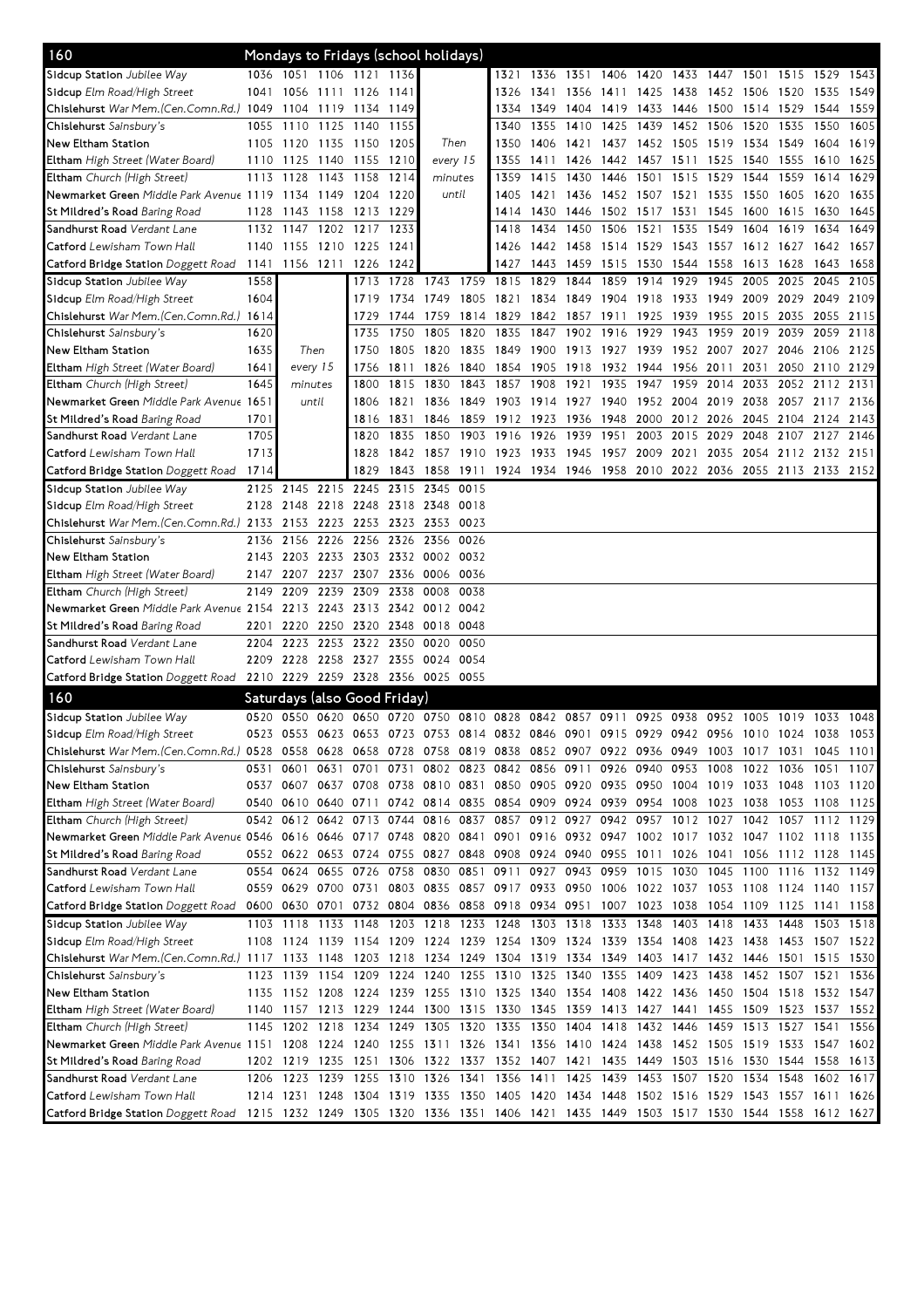| 160                                                                                                                             |      | Mondays to Fridays (school holidays)                                                      |                |           |                               |                |      |                                                                       |                                                        |      |                |           |           |      |                               |                |           |      |
|---------------------------------------------------------------------------------------------------------------------------------|------|-------------------------------------------------------------------------------------------|----------------|-----------|-------------------------------|----------------|------|-----------------------------------------------------------------------|--------------------------------------------------------|------|----------------|-----------|-----------|------|-------------------------------|----------------|-----------|------|
| Sidcup Station Jubilee Way                                                                                                      |      | 1036 1051 1106 1121 1136                                                                  |                |           |                               |                |      | 1321                                                                  | 1336                                                   | 1351 | 1406           | 1420      | 1433      | 1447 | 1501                          | 1515           | 1529      | 1543 |
| Sidcup Elm Road/High Street                                                                                                     | 1041 | 1056 1111 1126                                                                            |                |           | 1141                          |                |      | 1326                                                                  | 1341                                                   | 1356 | 1411           | 1425      | 1438      | 1452 | 1506                          | 1520           | 1535      | 1549 |
| Chislehurst War Mem.(Cen.Comn.Rd.) 1049                                                                                         |      | 1104 1119 1134                                                                            |                |           | 1149                          |                |      | 1334                                                                  | 1349                                                   | 1404 | 1419           | 1433 1446 |           | 1500 | 1514 1529                     |                | 1544      | 1559 |
| Chislehurst Sainsbury's                                                                                                         | 1055 | 1110                                                                                      | 1125 1140      |           | 1155                          |                |      | 1340                                                                  | 1355                                                   | 1410 | 1425           | 1439      | 1452 1506 |      | 1520                          | 1535           | 1550      | 1605 |
| New Eltham Station                                                                                                              | 1105 | 1120 1135 1150                                                                            |                |           | 1205                          | Then           |      | 1350                                                                  | 1406                                                   | 1421 |                |           |           |      | 1437 1452 1505 1519 1534 1549 |                | 1604 1619 |      |
| <b>Eltham</b> High Street (Water Board)                                                                                         | 1110 | 1125                                                                                      | 1140 1155      |           | 1210                          | every 15       |      | 1355                                                                  | 1411                                                   | 1426 |                | 1442 1457 | 1511 1525 |      | 1540                          | 1555           | 1610      | 1625 |
| <b>Eltham</b> Church (High Street)                                                                                              | 1113 | 1128                                                                                      | 1143 1158      |           | 1214                          | minutes        |      | 1359                                                                  | 1415                                                   | 1430 | 1446           | 1501      | 1515      | 1529 | 1544                          | 1559           | 1614      | 1629 |
| Newmarket Green Middle Park Avenue 1119                                                                                         |      |                                                                                           | 1134 1149 1204 |           | 1220                          | until          |      | 1405                                                                  | 1421                                                   | 1436 |                | 1452 1507 | 1521      | 1535 | 1550                          | 1605           | 1620      | 1635 |
| St Mildred's Road <i>Baring Road</i>                                                                                            | 1128 | 1143                                                                                      | 1158 1213      |           | 1229                          |                |      | 1414                                                                  | 1430                                                   | 1446 | 1502           | 1517      | 1531      | 1545 | 1600                          | 1615           | 1630      | 1645 |
| Sandhurst Road <i>Verdant Lane</i>                                                                                              | 1132 | 1147                                                                                      |                | 1202 1217 | 1233                          |                |      | 1418                                                                  | 1434                                                   | 1450 | 1506           | 1521      | 1535      | 1549 | 1604                          | 1619           | 1634      | 1649 |
| Catford Lewisham Town Hall                                                                                                      | 1140 | 1155 1210 1225                                                                            |                |           | 1241                          |                |      | 1426                                                                  | 1442                                                   | 1458 | 1514 1529      |           | 1543 1557 |      | 1612 1627                     |                | 1642      | 1657 |
| Catford Bridge Station Doggett Road                                                                                             |      | 1141 1156 1211 1226                                                                       |                |           | 1242                          |                |      | 1427                                                                  | 1443                                                   | 1459 | 1515           | 1530 1544 |           | 1558 | 1613 1628                     |                | 1643      | 1658 |
| Sidcup Station Jubilee Way                                                                                                      | 1558 |                                                                                           |                | 1713      | 1728                          | 1743           | 1759 | 1815                                                                  | 1829                                                   | 1844 | 1859           | 1914      | 1929      | 1945 | 2005                          | 2025           | 2045      | 2105 |
| Sidcup Elm Road/High Street                                                                                                     | 1604 |                                                                                           |                | 1719      | 1734                          | 1749           | 1805 | 1821                                                                  | 1834                                                   | 1849 | 1904           | 1918      | 1933      | 1949 | 2009                          | 2029           | 2049      | 2109 |
| Chislehurst War Mem.(Cen.Comn.Rd.) 1614                                                                                         |      |                                                                                           |                | 1729      | 1744                          | 1759           | 1814 | 1829                                                                  | 1842                                                   | 1857 | 1911           | 1925      | 1939      | 1955 | 2015 2035                     |                | 2055      | 2115 |
| Chislehurst Sainsbury's                                                                                                         | 1620 |                                                                                           |                | 1735      | 1750                          | 1805           | 1820 | 1835                                                                  | 1847                                                   | 1902 | 1916           | 1929      | 1943      | 1959 | 2019 2039                     |                | 2059      | 2118 |
| New Eltham Station                                                                                                              | 1635 | Then                                                                                      |                | 1750      | 1805                          | 1820           | 1835 | 1849                                                                  | 1900                                                   |      | 1913 1927 1939 |           | 1952 2007 |      |                               | 2027 2046 2106 |           | 2125 |
| <b>Eltham</b> High Street (Water Board)                                                                                         | 1641 | every 15                                                                                  |                | 1756      |                               | 1811 1826      | 1840 |                                                                       | 1854 1905                                              | 1918 | 1932 1944      |           | 1956      | 2011 | 2031                          | 2050           | 2110 2129 |      |
| <b>Eltham</b> Church (High Street)                                                                                              | 1645 | minutes                                                                                   |                | 1800      |                               | 1815 1830      | 1843 | 1857                                                                  | 1908                                                   | 1921 | 1935           | 1947      | 1959      | 2014 | 2033                          | 2052 2112 2131 |           |      |
| Newmarket Green Middle Park Avenue 1651                                                                                         |      | until                                                                                     |                | 1806      | 1821                          | 1836           | 1849 | 1903 1914                                                             |                                                        | 1927 | 1940           | 1952 2004 |           | 2019 | 2038                          | 2057           | 2117      | 2136 |
| St Mildred's Road <i>Baring Road</i>                                                                                            | 1701 |                                                                                           |                | 1816      | 1831                          | 1846           | 1859 | 1912 1923                                                             |                                                        | 1936 | 1948           | 2000      | 2012 2026 |      | 2045 2104                     |                | 2124      | 2143 |
| Sandhurst Road <i>Verdant Lane</i>                                                                                              | 1705 |                                                                                           |                | 1820      | 1835                          | 1850           | 1903 | 1916                                                                  | 1926                                                   | 1939 | 1951           | 2003      | 2015      | 2029 | 2048                          | 2107           | 2127      | 2146 |
| Catford Lewisham Town Hall                                                                                                      | 1713 |                                                                                           |                | 1828      | 1842                          | 1857           | 1910 | 1923                                                                  | 1933                                                   | 1945 | 1957           | 2009 2021 |           | 2035 |                               | 2054 2112 2132 |           | 2151 |
| <b>Catford Bridge Station</b> Doggett Road                                                                                      | 1714 |                                                                                           |                | 1829      | 1843                          | 1858           | 1911 |                                                                       | 1924 1934 1946 1958 2010 2022 2036 2055 2113 2133 2152 |      |                |           |           |      |                               |                |           |      |
| Sidcup Station Jubilee Way                                                                                                      | 2125 | 2145                                                                                      | 2215 2245      |           |                               | 2315 2345      | 0015 |                                                                       |                                                        |      |                |           |           |      |                               |                |           |      |
| Sidcup Elm Road/High Street                                                                                                     | 2128 | 2148 2218 2248                                                                            |                |           |                               | 2318 2348 0018 |      |                                                                       |                                                        |      |                |           |           |      |                               |                |           |      |
| Chislehurst War Mem.(Cen.Comn.Rd.) 2133                                                                                         |      | 2153                                                                                      | 2223 2253      |           |                               | 2323 2353 0023 |      |                                                                       |                                                        |      |                |           |           |      |                               |                |           |      |
| Chislehurst Sainsbury's                                                                                                         | 2136 | 2156 2226 2256                                                                            |                |           | 2326 2356 0026                |                |      |                                                                       |                                                        |      |                |           |           |      |                               |                |           |      |
| New Eltham Station                                                                                                              | 2143 |                                                                                           |                |           | 2203 2233 2303 2332 0002 0032 |                |      |                                                                       |                                                        |      |                |           |           |      |                               |                |           |      |
| <b>Eltham</b> High Street (Water Board)                                                                                         | 2147 | 2207                                                                                      |                | 2237 2307 |                               | 2336 0006 0036 |      |                                                                       |                                                        |      |                |           |           |      |                               |                |           |      |
| <b>Eltham</b> Church (High Street)                                                                                              | 2149 | 2209                                                                                      | 2239           | 2309      | 2338                          | 0008           | 0038 |                                                                       |                                                        |      |                |           |           |      |                               |                |           |      |
| Newmarket Green Middle Park Avenue 2154                                                                                         |      |                                                                                           | 2213 2243 2313 |           | 2342 0012 0042                |                |      |                                                                       |                                                        |      |                |           |           |      |                               |                |           |      |
| St Mildred's Road <i>Baring Road</i>                                                                                            | 2201 | 2220                                                                                      |                | 2250 2320 | 2348                          | 0018 0048      |      |                                                                       |                                                        |      |                |           |           |      |                               |                |           |      |
| Sandhurst Road Verdant Lane                                                                                                     | 2204 | 2223                                                                                      |                |           | 2253 2322 2350                | 0020           | 0050 |                                                                       |                                                        |      |                |           |           |      |                               |                |           |      |
| Catford Lewisham Town Hall                                                                                                      | 2209 | 2228                                                                                      | 2258 2327      |           |                               | 2355 0024      | 0054 |                                                                       |                                                        |      |                |           |           |      |                               |                |           |      |
| Catford Bridge Station Doggett Road 2210 2229 2259 2328 2356 0025 0055                                                          |      |                                                                                           |                |           |                               |                |      |                                                                       |                                                        |      |                |           |           |      |                               |                |           |      |
|                                                                                                                                 |      |                                                                                           |                |           |                               |                |      |                                                                       |                                                        |      |                |           |           |      |                               |                |           |      |
| 160                                                                                                                             |      | Saturdays (also Good Friday)                                                              |                |           |                               |                |      |                                                                       |                                                        |      |                |           |           |      |                               |                |           |      |
| Sidcup Station Jubilee Way                                                                                                      | 0520 | 0550                                                                                      |                |           | 0620 0650 0720 0750 0810 0828 |                |      |                                                                       | 0842                                                   | 0857 | 0911           | 0925      | 0938      | 0952 | 1005                          | 1019           | 1033      | 1048 |
| Sidcup Elm Road/High Street                                                                                                     | 0523 | 0553 0623 0653 0723 0753 0814 0832 0846 0901 0915 0929 0942 0956 1010 1024                |                |           |                               |                |      |                                                                       |                                                        |      |                |           |           |      |                               |                | 1038      | 1053 |
| Chislehurst War Mem.(Cen.Comn.Rd.) 0528 0558 0628 0658 0728 0758 0819 0838 0852 0907 0922 0936 0949 1003 1017 1031 1045 1101    |      |                                                                                           |                |           |                               |                |      |                                                                       |                                                        |      |                |           |           |      |                               |                |           |      |
| Chislehurst Sainsbury's                                                                                                         |      | 0531 0601                                                                                 |                | 0631 0701 | 0731                          |                |      | 0802 0823 0842 0856 0911 0926 0940 0953 1008 1022 1036                |                                                        |      |                |           |           |      |                               |                | 1051 1107 |      |
| New Eltham Station                                                                                                              |      | 0537 0607 0637 0708 0738 0810 0831 0850 0905 0920 0935 0950 1004 1019 1033 1048 1103 1120 |                |           |                               |                |      |                                                                       |                                                        |      |                |           |           |      |                               |                |           |      |
| <b>Eltham</b> High Street (Water Board)                                                                                         |      | 0540 0610 0640 0711 0742 0814 0835 0854 0909 0924 0939 0954 1008 1023 1038 1053 1108 1125 |                |           |                               |                |      |                                                                       |                                                        |      |                |           |           |      |                               |                |           |      |
| Eltham Church (High Street)                                                                                                     |      | 0542 0612 0642 0713 0744 0816 0837 0857 0912 0927 0942 0957 1012 1027 1042 1057 1112 1129 |                |           |                               |                |      |                                                                       |                                                        |      |                |           |           |      |                               |                |           |      |
| Newmarket Green Middle Park Avenue 0546 0616 0646 0717 0748 0820 0841 0901 0916 0932 0947 1002 1017 1032 1047 1102 1118 1135    |      |                                                                                           |                |           |                               |                |      |                                                                       |                                                        |      |                |           |           |      |                               |                |           |      |
| St Mildred's Road <i>Baring Road</i>                                                                                            |      | 0552 0622 0653 0724 0755 0827 0848 0908 0924 0940 0955 1011 1026 1041 1056 1112 1128 1145 |                |           |                               |                |      |                                                                       |                                                        |      |                |           |           |      |                               |                |           |      |
| Sandhurst Road <i>Verdant Lane</i>                                                                                              |      | 0554 0624                                                                                 | 0655 0726      |           |                               |                |      | 0758 0830 0851 0911 0927 0943 0959 1015 1030 1045 1100 1116 1132 1149 |                                                        |      |                |           |           |      |                               |                |           |      |
| <b>Catford</b> Lewisham Town Hall                                                                                               |      | 0559 0629 0700 0731 0803 0835 0857 0917 0933 0950 1006 1022 1037 1053 1108 1124 1140 1157 |                |           |                               |                |      |                                                                       |                                                        |      |                |           |           |      |                               |                |           |      |
| Catford Bridge Station Doggett Road                                                                                             |      | 0600 0630 0701 0732 0804 0836 0858 0918 0934 0951 1007 1023 1038 1054 1109 1125 1141 1158 |                |           |                               |                |      |                                                                       |                                                        |      |                |           |           |      |                               |                |           |      |
| Sidcup Station Jubilee Way                                                                                                      |      | 1103 1118 1133 1148                                                                       |                |           |                               |                |      | 1203 1218 1233 1248 1303 1318 1333 1348 1403 1418 1433 1448           |                                                        |      |                |           |           |      |                               |                | 1503 1518 |      |
| Sidcup Elm Road/High Street                                                                                                     |      | 1108 1124 1139 1154 1209 1224 1239 1254 1309 1324 1339 1354 1408 1423 1438 1453 1507 1522 |                |           |                               |                |      |                                                                       |                                                        |      |                |           |           |      |                               |                |           |      |
| Chislehurst War Mem. (Cen. Comn. Rd.) 1117 1133 1148 1203 1218 1234 1249 1304 1319 1334 1349 1403 1417 1432 1446 1501 1515 1530 |      |                                                                                           |                |           |                               |                |      |                                                                       |                                                        |      |                |           |           |      |                               |                |           |      |
| Chislehurst Sainsbury's                                                                                                         |      | 1123 1139 1154 1209 1224 1240 1255 1310 1325 1340 1355 1409 1423 1438 1452 1507 1521 1536 |                |           |                               |                |      |                                                                       |                                                        |      |                |           |           |      |                               |                |           |      |
| New Eltham Station                                                                                                              |      | 1135 1152 1208 1224 1239 1255 1310 1325 1340 1354 1408 1422 1436 1450 1504 1518 1532 1547 |                |           |                               |                |      |                                                                       |                                                        |      |                |           |           |      |                               |                |           |      |
| <b>Eltham</b> High Street (Water Board)                                                                                         |      | 1140 1157 1213 1229 1244 1300 1315 1330 1345 1359 1413 1427 1441 1455 1509 1523 1537 1552 |                |           |                               |                |      |                                                                       |                                                        |      |                |           |           |      |                               |                |           |      |
| Eltham Church (High Street)                                                                                                     |      | 1145 1202 1218 1234 1249 1305 1320 1335 1350 1404 1418 1432 1446 1459 1513 1527 1541 1556 |                |           |                               |                |      |                                                                       |                                                        |      |                |           |           |      |                               |                |           |      |
| Newmarket Green <i>Middle Park Avenue</i> 1151 1208 1224 1240                                                                   |      |                                                                                           |                |           |                               |                |      | 1255 1311 1326 1341 1356 1410 1424 1438 1452 1505 1519 1533 1547 1602 |                                                        |      |                |           |           |      |                               |                |           |      |
| St Mildred's Road <i>Baring Road</i>                                                                                            |      | 1202 1219 1235 1251 1306 1322 1337 1352 1407 1421 1435 1449 1503 1516 1530 1544 1558 1613 |                |           |                               |                |      |                                                                       |                                                        |      |                |           |           |      |                               |                |           |      |
| Sandhurst Road Verdant Lane                                                                                                     |      | 1206 1223 1239 1255 1310 1326 1341 1356 1411 1425 1439 1453 1507 1520 1534 1548           |                |           |                               |                |      |                                                                       |                                                        |      |                |           |           |      |                               |                | 1602 1617 |      |
| Catford Lewisham Town Hall                                                                                                      |      | 1214 1231 1248 1304 1319 1335 1350 1405 1420 1434 1448 1502 1516 1529 1543 1557 1611 1626 |                |           |                               |                |      |                                                                       |                                                        |      |                |           |           |      |                               |                |           |      |
| Catford Bridge Station Doggett Road 1215 1232 1249 1305 1320 1336 1351 1406 1421 1435 1449 1503 1517 1530 1544 1558 1612 1627   |      |                                                                                           |                |           |                               |                |      |                                                                       |                                                        |      |                |           |           |      |                               |                |           |      |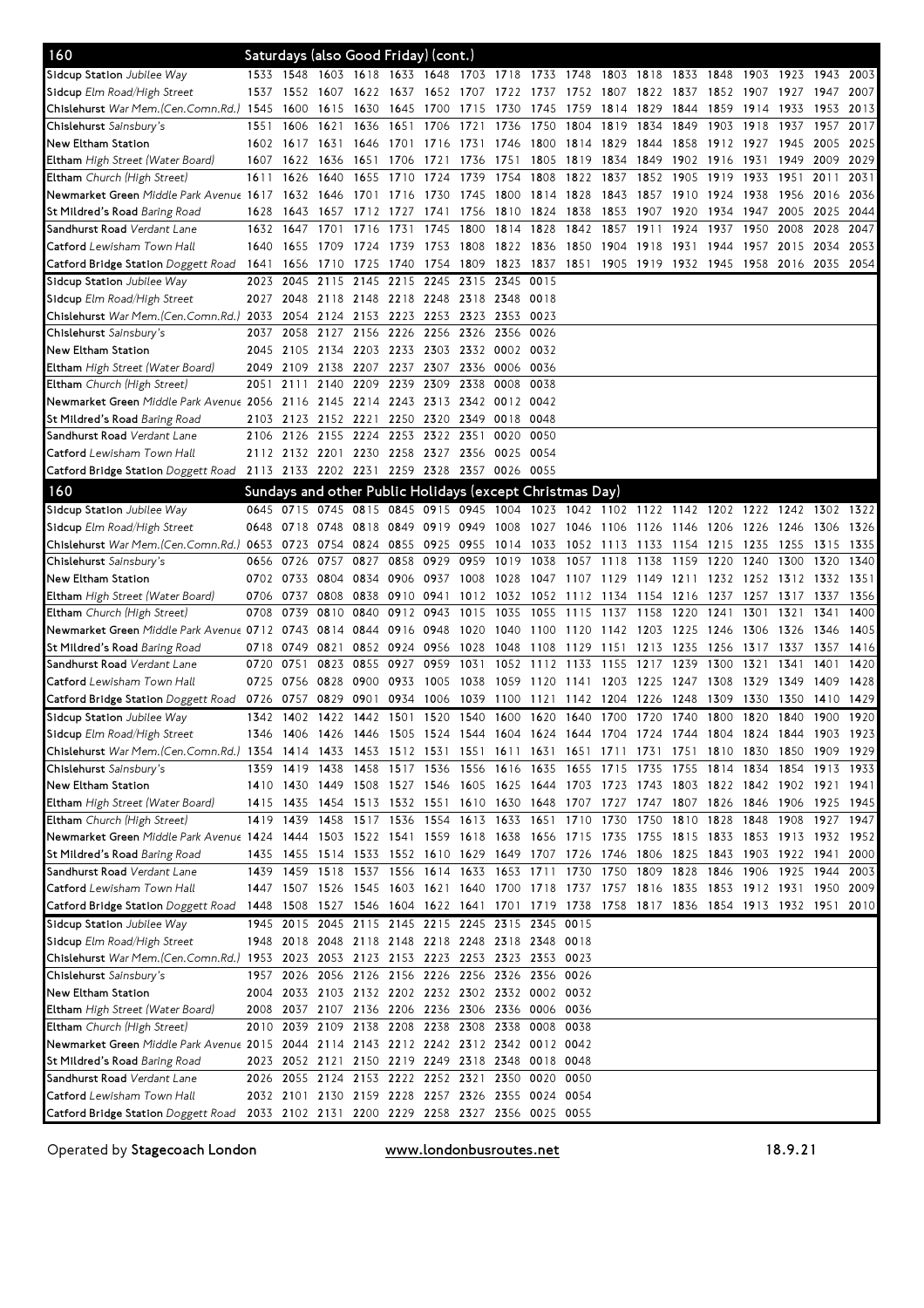| 160                                                                                                                          |              |                        |           | Saturdays (also Good Friday) (cont.)                     |                                              |                        |                          |           |           |                                            |           |           |           |              |                                                                                           |              |              |              |
|------------------------------------------------------------------------------------------------------------------------------|--------------|------------------------|-----------|----------------------------------------------------------|----------------------------------------------|------------------------|--------------------------|-----------|-----------|--------------------------------------------|-----------|-----------|-----------|--------------|-------------------------------------------------------------------------------------------|--------------|--------------|--------------|
| Sidcup Station Jubilee Way                                                                                                   |              |                        |           | 1533 1548 1603 1618 1633 1648 1703 1718 1733 1748        |                                              |                        |                          |           |           |                                            | 1803 1818 |           | 1833 1848 |              | 1903 1923 1943                                                                            |              |              | 2003         |
| <b>Sidcup</b> Elm Road/High Street                                                                                           |              | 1537 1552 1607 1622    |           |                                                          |                                              |                        | 1637 1652 1707 1722 1737 |           |           |                                            |           |           |           |              | 1752 1807 1822 1837 1852 1907 1927                                                        |              | 1947         | 2007         |
| Chislehurst <i>War Mem.(Cen.Comn.Rd.)</i> 1545                                                                               |              | 1600                   | 1615 1630 |                                                          | 1645                                         | 1700                   | 1715                     | 1730      | 1745      | 1759                                       | 1814 1829 |           | 1844      | 1859         | 1914                                                                                      | 1933         | 1953         | 2013         |
| <b>Chislehurst</b> Sainsbury's                                                                                               | 1551         | 1606                   | 1621 1636 |                                                          | 1651 1706                                    |                        | 1721                     | 1736      | 1750      | 1804                                       | 1819      | 1834      | 1849      | 1903         | 1918                                                                                      | 1937         | 1957         | 2017         |
| New Eltham Station                                                                                                           | 1602         | 1617                   | 1631      | 1646                                                     | 1701                                         | 1716                   | 1731                     | 1746      | 1800      | 1814                                       | 1829      | 1844      | 1858      | 1912         | 1927                                                                                      | 1945         | 2005         | 2025         |
| <b>Eltham</b> High Street (Water Board)                                                                                      | 1607         | 1622                   | 1636      | 1651                                                     | 1706                                         | 1721                   | 1736                     | 1751      | 1805      | 1819                                       | 1834 1849 |           | 1902      | 1916         | 1931                                                                                      | 1949         | 2009         | 2029         |
| <b>Eltham</b> Church (High Street)                                                                                           | 1611         | 1626                   | 1640      | 1655                                                     | 1710                                         | 1724                   | 1739                     | 1754      | 1808      | 1822                                       | 1837      | 1852      | 1905      | 1919         | 1933                                                                                      | 1951         | 2011         | 2031         |
| Newmarket Green Middle Park Avenue 1617                                                                                      |              | 1632                   | 1646      | 1701                                                     | 1716                                         | 1730                   | 1745                     | 1800      | 1814      | 1828                                       | 1843      | 1857 1910 |           | 1924         | 1938                                                                                      | 1956         | 2016         | 2036         |
| St Mildred's Road <i>Baring Road</i>                                                                                         | 1628         | 1643                   | 1657      | 1712                                                     | 1727                                         | 1741                   | 1756                     | 1810 1824 |           | 1838                                       | 1853      | 1907      | 1920      | 1934         | 1947                                                                                      | 2005         | 2025         | 2044         |
| Sandhurst Road <i>Verdant Lane</i>                                                                                           | 1632         | 1647                   | 1701      | 1716                                                     | 1731                                         | 1745                   | 1800                     | 1814      | 1828      | 1842                                       | 1857      | 1911      | 1924      | 1937         | 1950                                                                                      | 2008         | 2028         | 2047         |
| <b>Catford</b> Lewisham Town Hall                                                                                            | 1640         | 1655                   | 1709      | 1724                                                     | 1739                                         | 1753                   | 1808                     | 1822 1836 |           | 1850                                       | 1904      | 1918      | 1931      | 1944         | 1957 2015                                                                                 |              | 2034         | 2053         |
| <b>Catford Bridge Station</b> Doggett Road                                                                                   | 1641         | 1656                   | 1710      | 1725                                                     | 1740                                         | 1754 1809              |                          | 1823      | 1837      | 1851                                       |           |           |           |              | 1905 1919 1932 1945 1958 2016 2035                                                        |              |              | 2054         |
| Sidcup Station Jubilee Way                                                                                                   | 2023         | 2045                   | 2115      | 2145                                                     | 2215                                         | 2245 2315              |                          | 2345      | 0015      |                                            |           |           |           |              |                                                                                           |              |              |              |
| <b>Sidcup</b> Elm Road/High Street                                                                                           | 2027         | 2048                   | 2118 2148 |                                                          | 2218 2248 2318 2348 0018                     |                        |                          |           |           |                                            |           |           |           |              |                                                                                           |              |              |              |
| Chislehurst War Mem.(Cen.Comn.Rd.) 2033                                                                                      |              |                        |           | 2054 2124 2153 2223 2253 2323 2353 0023                  |                                              |                        |                          |           |           |                                            |           |           |           |              |                                                                                           |              |              |              |
| Chislehurst Sainsbury's                                                                                                      | 2037         | 2058                   | 2127 2156 |                                                          | 2226 2256                                    |                        | 2326                     | 2356 0026 |           |                                            |           |           |           |              |                                                                                           |              |              |              |
| New Eltham Station                                                                                                           | 2045         | 2105                   |           | 2134 2203 2233 2303 2332 0002 0032                       |                                              |                        |                          |           |           |                                            |           |           |           |              |                                                                                           |              |              |              |
| <b>Eltham</b> High Street (Water Board)                                                                                      | 2049         | 2109                   |           | 2138 2207 2237 2307 2336 0006 0036                       |                                              |                        |                          |           |           |                                            |           |           |           |              |                                                                                           |              |              |              |
| <b>Eltham</b> Church (High Street)                                                                                           | 2051         | 2111                   | 2140      | 2209                                                     | 2239 2309                                    |                        | 2338                     | 0008 0038 |           |                                            |           |           |           |              |                                                                                           |              |              |              |
| Newmarket Green Middle Park Avenue 2056                                                                                      |              |                        |           | 2116 2145 2214 2243 2313 2342 0012 0042                  |                                              |                        |                          |           |           |                                            |           |           |           |              |                                                                                           |              |              |              |
| St Mildred's Road <i>Baring Road</i>                                                                                         | 2103         |                        |           | 2123 2152 2221 2250 2320 2349 0018 0048                  |                                              |                        |                          |           |           |                                            |           |           |           |              |                                                                                           |              |              |              |
| Sandhurst Road <i>Verdant Lane</i>                                                                                           | 2106         | 2126                   | 2155 2224 |                                                          |                                              | 2253 2322 2351         |                          | 0020      | 0050      |                                            |           |           |           |              |                                                                                           |              |              |              |
| <b>Catford</b> Lewisham Town Hall                                                                                            |              | 2112 2132 2201 2230    |           |                                                          | 2258                                         | 2327 2356              |                          | 0025 0054 |           |                                            |           |           |           |              |                                                                                           |              |              |              |
| <b>Catford Bridge Station</b> Doggett Road                                                                                   |              |                        |           | 2113 2133 2202 2231 2259 2328 2357 0026 0055             |                                              |                        |                          |           |           |                                            |           |           |           |              |                                                                                           |              |              |              |
| 160                                                                                                                          |              |                        |           | Sundays and other Public Holidays (except Christmas Day) |                                              |                        |                          |           |           |                                            |           |           |           |              |                                                                                           |              |              |              |
| Sidcup Station Jubilee Way                                                                                                   |              |                        |           |                                                          |                                              |                        |                          |           |           |                                            |           |           |           |              | 0645 0715 0745 0815 0845 0915 0945 1004 1023 1042 1102 1122 1142 1202 1222 1242 1302 1322 |              |              |              |
| <b>Sidcup</b> Elm Road/High Street                                                                                           | 0648         | 0718                   | 0748      | 0818                                                     | 0849 0919 0949                               |                        |                          |           |           | 1008 1027 1046 1106 1126 1146 1206         |           |           |           |              | 1226 1246                                                                                 |              | 1306         | 1326         |
| Chislehurst War Mem.(Cen.Comn.Rd.) 0653                                                                                      |              | 0723                   | 0754 0824 |                                                          | 0855                                         | 0925 0955              |                          | 1014 1033 |           | 1052 1113 1133 1154 1215                   |           |           |           |              | 1235 1255                                                                                 |              | 1315         | 1335         |
| Ch <b>islehurst</b> Sainsbury's                                                                                              | 0656         | 0726                   | 0757      | 0827                                                     | 0858                                         | 0929                   | 0959                     | 1019      | 1038      | 1057                                       | 1118      | 1138      | 1159      | 1220         | 1240                                                                                      | 1300         | 1320         | 1340         |
| New Eltham Station                                                                                                           | 0702         | 0733                   | 0804      | 0834                                                     | 0906                                         | 0937 1008              |                          | 1028      |           | 1047 1107 1129 1149 1211                   |           |           |           | 1232         | 1252 1312 1332                                                                            |              |              | 1351         |
| <b>Eltham</b> High Street (Water Board)                                                                                      | 0706         | 0737                   | 0808      | 0838                                                     |                                              | 0910 0941              | 1012                     | 1032 1052 |           | 1112 1134 1154 1216                        |           |           |           | 1237         | 1257 1317                                                                                 |              | 1337         | 1356         |
| Eltham Church (High Street)                                                                                                  | 0708         | 0739                   |           | 0810 0840                                                |                                              | 0912 0943              | 1015                     | 1035      | 1055      | 1115                                       | 1137      | 1158      | 1220      | 1241         | 1301                                                                                      | 1321         | 1341         | 1400         |
| Newmarket Green Middle Park Avenue 0712                                                                                      |              | 0743                   | 0814 0844 |                                                          | 0916 0948                                    |                        | 1020                     | 1040 1100 |           | 1120                                       | 1142      | 1203 1225 |           | 1246         | 1306                                                                                      | 1326         | 1346         | 1405         |
| St Mildred's Road <i>Baring Road</i>                                                                                         | 0718         | 0749                   | 0821      |                                                          | 0852 0924 0956 1028                          |                        |                          | 1048      | 1108      | 1129 1151 1213 1235                        |           |           |           | 1256         | 1317 1337                                                                                 |              | 1357         | 1416         |
| Sandhurst Road <i>Verdant Lane</i>                                                                                           | 0720         | 0751                   |           | 0823 0855                                                | 0927                                         | 0959                   | 1031                     |           | 1052 1112 | 1133                                       | 1155      | 1217      | 1239      | 1300         | 1321                                                                                      | 1341         | 1401         | 1420         |
| <b>Catford</b> Lewisham Town Hall                                                                                            | 0725         | 0756                   | 0828 0900 |                                                          | 0933                                         | 1005 1038              |                          |           |           | 1059 1120 1141 1203 1225 1247              |           |           |           | 1308         | 1329                                                                                      | 1349         | 1409         | 1428         |
| <b>Catford Bridge Station</b> Doggett Road                                                                                   | 0726<br>1342 | 0757 0829 0901<br>1402 | 1422 1442 |                                                          | 1501                                         | 0934 1006<br>1520 1540 |                          | 1600      | 1620      | 1039 1100 1121 1142 1204 1226 1248<br>1640 | 1700      | 1720      | 1740      | 1309<br>1800 | 1330<br>1820                                                                              | 1350<br>1840 | 1410<br>1900 | 1429<br>1920 |
| Sidcup Station Jubilee Way<br><b>Sidcup</b> Elm Road/High Street                                                             | 1346         | 1406 1426 1446         |           |                                                          | 1505 1524 1544 1604 1624 1644 1704 1724 1744 |                        |                          |           |           |                                            |           |           |           |              | 1804 1824 1844                                                                            |              | 1903         | 1923         |
| Chislehurst War Mem.(Cen.Comn.Rd.) 1354 1414 1433 1453 1512 1531 1551 1611 1631 1651 1711 1731 1751 1810 1830 1850 1909 1929 |              |                        |           |                                                          |                                              |                        |                          |           |           |                                            |           |           |           |              |                                                                                           |              |              |              |
| Chislehurst Sainsbury's                                                                                                      |              |                        |           |                                                          |                                              |                        |                          |           |           |                                            |           |           |           |              | 1359 1419 1438 1458 1517 1536 1556 1616 1635 1655 1715 1735 1755 1814 1834 1854 1913 1933 |              |              |              |
| New Eltham Station                                                                                                           |              |                        |           |                                                          |                                              |                        |                          |           |           |                                            |           |           |           |              | 1410 1430 1449 1508 1527 1546 1605 1625 1644 1703 1723 1743 1803 1822 1842 1902 1921 1941 |              |              |              |
| <b>Eltham</b> High Street (Water Board)                                                                                      |              |                        |           |                                                          |                                              |                        |                          |           |           |                                            |           |           |           |              | 1415 1435 1454 1513 1532 1551 1610 1630 1648 1707 1727 1747 1807 1826 1846 1906 1925 1945 |              |              |              |
| Eltham Church (High Street)                                                                                                  |              |                        |           |                                                          |                                              |                        |                          |           |           |                                            |           |           |           |              | 1419 1439 1458 1517 1536 1554 1613 1633 1651 1710 1730 1750 1810 1828 1848 1908 1927 1947 |              |              |              |
| Newmarket Green Middle Park Avenue 1424 1444 1503 1522 1541 1559 1618 1638 1656 1715 1735 1755 1815 1833 1853 1913 1932 1952 |              |                        |           |                                                          |                                              |                        |                          |           |           |                                            |           |           |           |              |                                                                                           |              |              |              |
| St Mildred's Road <i>Baring Road</i>                                                                                         |              |                        |           |                                                          |                                              |                        |                          |           |           |                                            |           |           |           |              | 1435 1455 1514 1533 1552 1610 1629 1649 1707 1726 1746 1806 1825 1843 1903 1922 1941      |              |              | 2000         |
| Sandhurst Road <i>Verdant Lane</i>                                                                                           |              |                        |           |                                                          |                                              |                        |                          |           |           |                                            |           |           |           |              | 1439 1459 1518 1537 1556 1614 1633 1653 1711 1730 1750 1809 1828 1846 1906 1925 1944      |              |              | 2003         |
| Catford Lewisham Town Hall                                                                                                   |              |                        |           |                                                          |                                              |                        |                          |           |           |                                            |           |           |           |              | 1447 1507 1526 1545 1603 1621 1640 1700 1718 1737 1757 1816 1835 1853 1912 1931 1950 2009 |              |              |              |
| Catford Bridge Station Doggett Road                                                                                          |              |                        |           |                                                          |                                              |                        |                          |           |           |                                            |           |           |           |              | 1448 1508 1527 1546 1604 1622 1641 1701 1719 1738 1758 1817 1836 1854 1913 1932 1951 2010 |              |              |              |
| Sidcup Station Jubilee Way                                                                                                   |              |                        |           | 1945 2015 2045 2115 2145 2215 2245 2315 2345 0015        |                                              |                        |                          |           |           |                                            |           |           |           |              |                                                                                           |              |              |              |
| Sidcup Elm Road/High Street                                                                                                  |              |                        |           | 1948 2018 2048 2118 2148 2218 2248 2318 2348 0018        |                                              |                        |                          |           |           |                                            |           |           |           |              |                                                                                           |              |              |              |
| Chislehurst War Mem.(Cen.Comn.Rd.) 1953 2023 2053 2123 2153 2223 2253 2323 2353 0023                                         |              |                        |           |                                                          |                                              |                        |                          |           |           |                                            |           |           |           |              |                                                                                           |              |              |              |
| Chislehurst Sainsbury's                                                                                                      |              |                        |           | 1957 2026 2056 2126 2156 2226 2256 2326 2356 0026        |                                              |                        |                          |           |           |                                            |           |           |           |              |                                                                                           |              |              |              |
| New Eltham Station                                                                                                           | 2004         |                        |           | 2033 2103 2132 2202 2232 2302 2332 0002 0032             |                                              |                        |                          |           |           |                                            |           |           |           |              |                                                                                           |              |              |              |
| <b>Eltham</b> High Street (Water Board)                                                                                      |              |                        |           | 2008 2037 2107 2136 2206 2236 2306 2336 0006 0036        |                                              |                        |                          |           |           |                                            |           |           |           |              |                                                                                           |              |              |              |
| Eltham Church (High Street)                                                                                                  |              |                        |           | 2010 2039 2109 2138 2208 2238 2308 2338 0008 0038        |                                              |                        |                          |           |           |                                            |           |           |           |              |                                                                                           |              |              |              |
| Newmarket Green Middle Park Avenue 2015 2044 2114 2143 2212 2242 2312 2342 0012 0042                                         |              |                        |           |                                                          |                                              |                        |                          |           |           |                                            |           |           |           |              |                                                                                           |              |              |              |
| <b>St Mildred's Road</b> Baring Road                                                                                         |              |                        |           | 2023 2052 2121 2150 2219 2249 2318 2348 0018 0048        |                                              |                        |                          |           |           |                                            |           |           |           |              |                                                                                           |              |              |              |
| Sandhurst Road <i>Verdant Lane</i>                                                                                           |              |                        |           | 2026 2055 2124 2153 2222 2252 2321 2350 0020 0050        |                                              |                        |                          |           |           |                                            |           |           |           |              |                                                                                           |              |              |              |
| <b>Catford</b> Lewisham Town Hall                                                                                            |              |                        |           | 2032 2101 2130 2159 2228 2257 2326 2355 0024 0054        |                                              |                        |                          |           |           |                                            |           |           |           |              |                                                                                           |              |              |              |
| Catford Bridge Station Doggett Road 2033 2102 2131 2200 2229 2258 2327 2356 0025 0055                                        |              |                        |           |                                                          |                                              |                        |                          |           |           |                                            |           |           |           |              |                                                                                           |              |              |              |

Operated by Stagecoach London www.londonbusroutes.net 18.9.21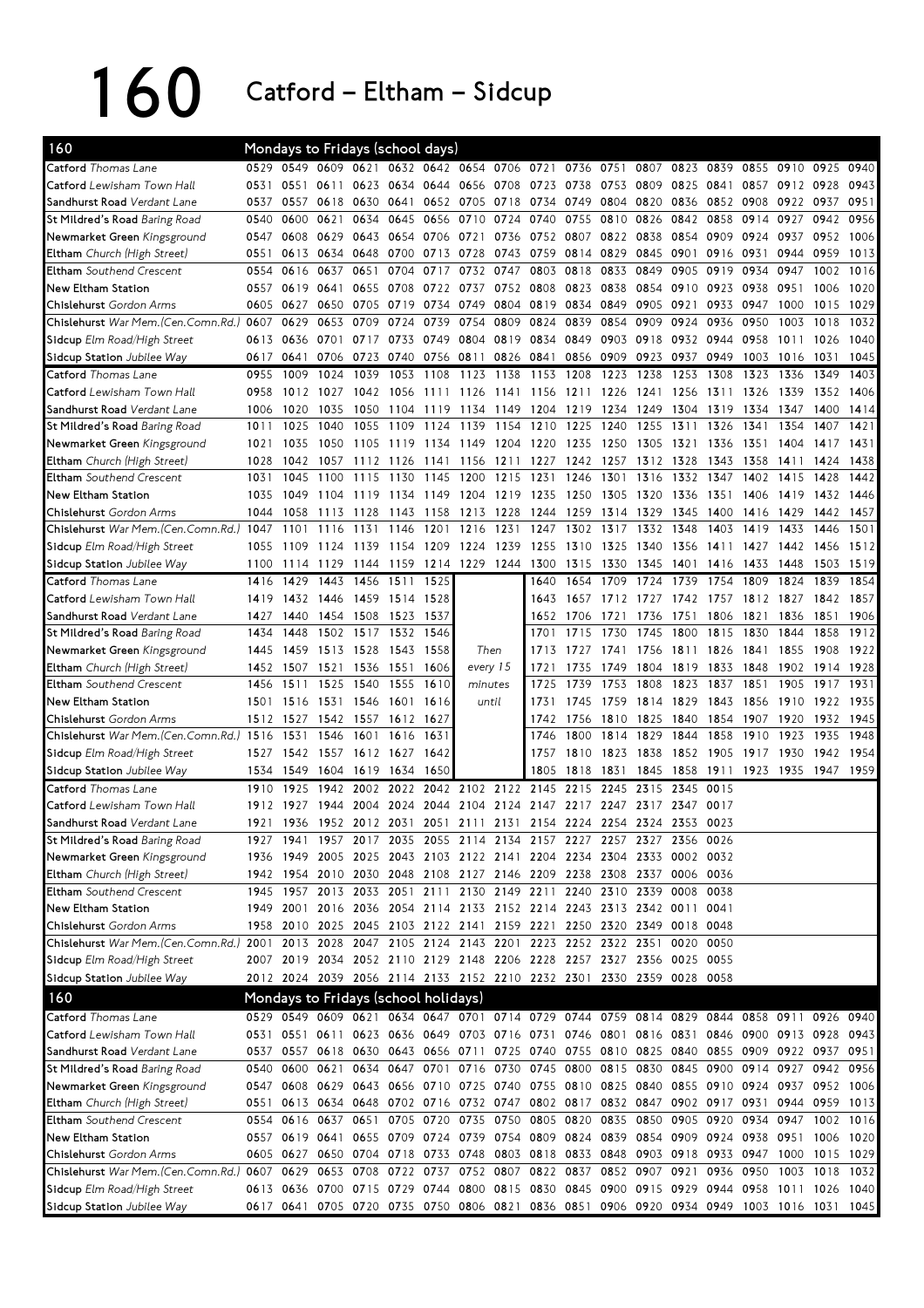## 160 Catford – Eltham – Sidcup

| 160                                                                                                                     |      |                |           | Mondays to Fridays (school days)     |           |           |                          |           |                                                                       |           |           |      |      |                |      |                                                                                           |      |      |
|-------------------------------------------------------------------------------------------------------------------------|------|----------------|-----------|--------------------------------------|-----------|-----------|--------------------------|-----------|-----------------------------------------------------------------------|-----------|-----------|------|------|----------------|------|-------------------------------------------------------------------------------------------|------|------|
| Catford Thomas Lane                                                                                                     | 0529 | 0549           |           | 0609 0621                            |           |           | 0632 0642 0654 0706 0721 |           |                                                                       | 0736      | 0751      | 0807 | 0823 | 0839           | 0855 | 0910                                                                                      | 0925 | 0940 |
| Catford Lewisham Town Hall                                                                                              | 0531 | 0551           | 0611      | 0623                                 | 0634      | 0644      | 0656                     | 0708      | 0723                                                                  | 0738      | 0753      | 0809 | 0825 | 0841           | 0857 | 0912 0928                                                                                 |      | 0943 |
| Sandhurst Road Verdant Lane                                                                                             | 0537 | 0557           | 0618      | 0630                                 | 0641      |           | 0652 0705                | 0718 0734 |                                                                       | 0749      | 0804 0820 |      |      | 0836 0852 0908 |      | 0922 0937                                                                                 |      | 0951 |
| St Mildred's Road Baring Road                                                                                           | 0540 | 0600           | 0621      | 0634                                 | 0645      | 0656      | 0710                     | 0724      | 0740                                                                  | 0755      | 0810      | 0826 | 0842 | 0858           | 0914 | 0927                                                                                      | 0942 | 0956 |
| Newmarket Green Kingsground                                                                                             | 0547 | 0608           | 0629      | 0643                                 | 0654      | 0706      | 0721                     | 0736      | 0752                                                                  | 0807      | 0822      | 0838 | 0854 | 0909           | 0924 | 0937                                                                                      | 0952 | 1006 |
| Eltham Church (High Street)                                                                                             | 0551 | 0613           | 0634      | 0648                                 | 0700      | 0713      | 0728                     |           | 0743 0759                                                             | 0814 0829 |           | 0845 | 0901 | 0916           | 0931 | 0944                                                                                      | 0959 | 1013 |
| Eltham Southend Crescent                                                                                                | 0554 | 0616           | 0637      | 0651                                 | 0704      | 0717      | 0732                     | 0747      | 0803                                                                  | 0818      | 0833      | 0849 | 0905 | 0919           | 0934 | 0947                                                                                      | 1002 | 1016 |
| New Eltham Station                                                                                                      | 0557 | 0619           | 0641      | 0655                                 | 0708      | 0722      | 0737                     |           | 0752 0808                                                             | 0823      | 0838      | 0854 | 0910 | 0923           | 0938 | 0951                                                                                      | 1006 | 1020 |
| Chislehurst Gordon Arms                                                                                                 | 0605 | 0627           | 0650      | 0705                                 | 0719      | 0734      | 0749                     |           | 0804 0819                                                             | 0834      | 0849      | 0905 | 0921 | 0933           | 0947 | 1000                                                                                      | 1015 | 1029 |
| Chislehurst War Mem.(Cen.Comn.Rd.)                                                                                      | 0607 | 0629           | 0653      | 0709                                 | 0724      | 0739      | 0754                     | 0809      | 0824                                                                  | 0839      | 0854      | 0909 | 0924 | 0936           | 0950 | 1003                                                                                      | 1018 | 1032 |
| Sidcup Elm Road/High Street                                                                                             | 0613 | 0636           | 0701      | 0717                                 | 0733      | 0749      | 0804                     |           | 0819 0834                                                             | 0849      | 0903      | 0918 | 0932 | 0944           | 0958 | 1011                                                                                      | 1026 | 1040 |
| Sidcup Station Jubilee Way                                                                                              | 0617 | 0641           | 0706      | 0723                                 | 0740      | 0756      | 0811                     |           | 0826 0841                                                             | 0856      | 0909      | 0923 | 0937 | 0949           | 1003 | 1016                                                                                      | 1031 | 1045 |
| Catford Thomas Lane                                                                                                     | 0955 | 1009           | 1024      | 1039                                 | 1053      | 1108      | 1123                     | 1138      | 1153                                                                  | 1208      | 1223      | 1238 | 1253 | 1308           | 1323 | 1336                                                                                      | 1349 | 1403 |
| Catford Lewisham Town Hall                                                                                              | 0958 | 1012           | 1027      | 1042                                 | 1056      | 1111      | -1126                    | 1141 1156 |                                                                       | 1211 1226 |           | 1241 | 1256 | 1311           | 1326 | 1339                                                                                      | 1352 | 1406 |
| Sandhurst Road Verdant Lane                                                                                             | 1006 | 1020           | 1035      | 1050                                 | 1104      | 1119      | 1134                     | 1149      | 1204                                                                  | 1219      | 1234      | 1249 | 1304 | 1319           | 1334 | 1347                                                                                      | 1400 | 1414 |
| St Mildred's Road Baring Road                                                                                           | 1011 | 1025           | 1040      | 1055                                 | 1109      | 1124      | 1139                     | 1154      | 1210                                                                  | 1225      | 1240      | 1255 | 1311 | 1326           | 1341 | 1354                                                                                      | 1407 | 1421 |
| Newmarket Green Kingsground                                                                                             | 1021 | 1035           | 1050      | 1105                                 | 1119      | 1134      | 1149                     | 1204      | 1220                                                                  | 1235      | 1250      | 1305 | 1321 | 1336           | 1351 | 1404                                                                                      | 1417 | 1431 |
| Eltham Church (High Street)                                                                                             | 1028 | 1042           | 1057      | 1112                                 | 1126      | 1141      | 1156                     | 1211      | 1227                                                                  | 1242      | 1257      | 1312 | 1328 | 1343           | 1358 | 1411                                                                                      | 1424 | 1438 |
| Eltham Southend Crescent                                                                                                | 1031 | 1045           | 1100      | 1115                                 | 1130      | 1145      | 1200                     | 1215      | 1231                                                                  | 1246      | 1301      | 1316 | 1332 | 1347           | 1402 | 1415                                                                                      | 1428 | 1442 |
| New Eltham Station                                                                                                      | 1035 | 1049           | 1104      | 1119                                 | 1134      | 1149      | 1204                     | 1219      | 1235                                                                  | 1250      | 1305      | 1320 | 1336 | 1351           | 1406 | 1419                                                                                      | 1432 | 1446 |
| Chislehurst Gordon Arms                                                                                                 | 1044 | 1058           | 1113      | 1128                                 | 1143      | 1158      | 1213                     | 1228      | 1244                                                                  | 1259      | 1314      | 1329 | 1345 | 1400           | 1416 | 1429                                                                                      | 1442 | 1457 |
| Chislehurst War Mem. (Cen. Comn. Rd.) 1047                                                                              |      | 1101           | 1116      | 1131                                 | 1146      | 1201      | 1216                     | 1231      | 1247                                                                  | 1302      | 1317      | 1332 | 1348 | 1403           | 1419 | 1433                                                                                      | 1446 | 1501 |
| Sidcup Elm Road/High Street                                                                                             | 1055 | 1109           | 1124      | 1139                                 | 1154      | 1209      | 1224                     | 1239      | 1255                                                                  | 1310      | 1325      | 1340 | 1356 | 1411           | 1427 | 1442                                                                                      | 1456 | 1512 |
| Sidcup Station Jubilee Way                                                                                              | 1100 | 1114           | 1129      | 1144                                 |           | 1159 1214 | 1229                     | 1244 1300 |                                                                       | 1315      | 1330      | 1345 | 1401 | 1416           | 1433 | 1448                                                                                      | 1503 | 1519 |
| Catford Thomas Lane                                                                                                     | 1416 | 1429           | 1443      | 1456                                 | 1511      | 1525      |                          |           | 1640                                                                  | 1654      | 1709      | 1724 | 1739 | 1754           | 1809 | 1824                                                                                      | 1839 | 1854 |
| Catford Lewisham Town Hall                                                                                              | 1419 | 1432           | 1446      | 1459                                 | 1514 1528 |           |                          |           | 1643                                                                  | 1657      | 1712      | 1727 | 1742 | 1757           | 1812 | 1827                                                                                      | 1842 | 1857 |
| Sandhurst Road Verdant Lane                                                                                             | 1427 | 1440           | 1454      | 1508                                 | 1523 1537 |           |                          |           | 1652                                                                  | 1706      | 1721      | 1736 | 1751 | 1806           | 1821 | 1836                                                                                      | 1851 | 1906 |
| St Mildred's Road Baring Road                                                                                           | 1434 | 1448           | 1502      | 1517                                 | 1532      | 1546      |                          |           | 1701                                                                  | 1715      | 1730      | 1745 | 1800 | 1815           | 1830 | 1844                                                                                      | 1858 | 1912 |
| Newmarket Green Kingsground                                                                                             | 1445 | 1459           | 1513      | 1528                                 | 1543      | 1558      |                          | Then      | 1713                                                                  | 1727      | 1741      | 1756 | 1811 | 1826           | 1841 | 1855                                                                                      | 1908 | 1922 |
| Eltham Church (High Street)                                                                                             | 1452 | 1507           | 1521      | 1536                                 | 1551      | 1606      | every 15                 |           | 1721                                                                  | 1735      | 1749      | 1804 | 1819 | 1833           | 1848 | 1902                                                                                      | 1914 | 1928 |
| Eltham Southend Crescent                                                                                                | 1456 | 1511           | 1525      | 1540                                 | 1555      | 1610      | minutes                  |           | 1725                                                                  | 1739      | 1753      | 1808 | 1823 | 1837           | 1851 | 1905                                                                                      | 1917 | 1931 |
| <b>New Eltham Station</b>                                                                                               | 1501 | 1516           | 1531      | 1546                                 | 1601      | 1616      |                          | until     | 1731                                                                  | 1745      | 1759      | 1814 | 1829 | 1843           | 1856 | 1910                                                                                      | 1922 | 1935 |
| Chislehurst Gordon Arms                                                                                                 | 1512 | 1527           | 1542      | 1557                                 | 1612      | 1627      |                          |           | 1742                                                                  | 1756      | 1810      | 1825 | 1840 | 1854           | 1907 | 1920                                                                                      | 1932 | 1945 |
| Chislehurst War Mem. (Cen. Comn. Rd.) 1516                                                                              |      | 1531           | 1546      | 1601                                 | 1616      | 1631      |                          |           | 1746                                                                  | 1800      | 1814      | 1829 | 1844 | 1858           | 1910 | 1923                                                                                      | 1935 | 1948 |
| Sidcup Elm Road/High Street                                                                                             | 1527 | 1542           | 1557      | 1612                                 | 1627      | 1642      |                          |           | 1757                                                                  | 1810      | 1823      | 1838 | 1852 | 1905           | 1917 | 1930                                                                                      | 1942 | 1954 |
| Sidcup Station Jubilee Way                                                                                              | 1534 | 1549           | 1604      | 1619                                 | 1634      | 1650      |                          |           | 1805                                                                  | 1818      | 1831      | 1845 | 1858 | 1911           | 1923 | 1935                                                                                      | 1947 | 1959 |
| Catford Thomas Lane                                                                                                     | 1910 | 1925           | 1942      | 2002                                 | 2022      | 2042      | 2102                     | 2122      | 2145                                                                  | 2215      | 2245      | 2315 | 2345 | 0015           |      |                                                                                           |      |      |
| Catford Lewisham Town Hall                                                                                              | 1912 | 1927           | 1944      | 2004                                 | 2024      | 2044      | 2104                     |           | 2124 2147                                                             | 2217      | 2247      | 2317 | 2347 | 0017           |      |                                                                                           |      |      |
| Sandhurst Road Verdant Lane                                                                                             | 1921 | 1936           |           |                                      |           |           |                          |           | 1952 2012 2031 2051 2111 2131 2154 2224 2254 2324 2353 0023           |           |           |      |      |                |      |                                                                                           |      |      |
| St Mildred's Road Baring Road                                                                                           |      |                |           |                                      |           |           |                          |           | 1927 1941 1957 2017 2035 2055 2114 2134 2157 2227 2257 2327 2356 0026 |           |           |      |      |                |      |                                                                                           |      |      |
| Newmarket Green Kingsground                                                                                             |      |                |           |                                      |           |           |                          |           | 1936 1949 2005 2025 2043 2103 2122 2141 2204 2234 2304 2333 0002 0032 |           |           |      |      |                |      |                                                                                           |      |      |
| Eltham Church (High Street)                                                                                             |      |                |           |                                      |           |           |                          |           | 1942 1954 2010 2030 2048 2108 2127 2146 2209 2238 2308 2337 0006 0036 |           |           |      |      |                |      |                                                                                           |      |      |
| Eltham Southend Crescent                                                                                                |      |                |           |                                      |           |           |                          |           | 1945 1957 2013 2033 2051 2111 2130 2149 2211 2240 2310 2339 0008 0038 |           |           |      |      |                |      |                                                                                           |      |      |
| New Eltham Station                                                                                                      |      |                |           |                                      |           |           |                          |           | 1949 2001 2016 2036 2054 2114 2133 2152 2214 2243 2313 2342 0011 0041 |           |           |      |      |                |      |                                                                                           |      |      |
| Chislehurst Gordon Arms                                                                                                 | 1958 |                |           |                                      |           |           |                          |           | 2010 2025 2045 2103 2122 2141 2159 2221 2250 2320 2349 0018 0048      |           |           |      |      |                |      |                                                                                           |      |      |
| Chislehurst War Mem. (Cen. Comn. Rd.)                                                                                   |      |                |           |                                      |           |           |                          |           | 2001 2013 2028 2047 2105 2124 2143 2201 2223 2252 2322 2351           |           |           |      |      | 0020 0050      |      |                                                                                           |      |      |
| Sidcup Elm Road/High Street                                                                                             |      |                |           |                                      |           |           |                          |           | 2007 2019 2034 2052 2110 2129 2148 2206 2228 2257 2327 2356 0025 0055 |           |           |      |      |                |      |                                                                                           |      |      |
| Sidcup Station Jubilee Way                                                                                              |      |                |           |                                      |           |           |                          |           | 2012 2024 2039 2056 2114 2133 2152 2210 2232 2301 2330 2359 0028 0058 |           |           |      |      |                |      |                                                                                           |      |      |
|                                                                                                                         |      |                |           |                                      |           |           |                          |           |                                                                       |           |           |      |      |                |      |                                                                                           |      |      |
| 160                                                                                                                     |      |                |           | Mondays to Fridays (school holidays) |           |           |                          |           |                                                                       |           |           |      |      |                |      |                                                                                           |      |      |
| Catford Thomas Lane                                                                                                     |      |                |           |                                      |           |           |                          |           |                                                                       |           |           |      |      |                |      | 0529 0549 0609 0621 0634 0647 0701 0714 0729 0744 0759 0814 0829 0844 0858 0911 0926 0940 |      |      |
| <b>Catford</b> Lewisham Town Hall                                                                                       |      |                |           |                                      |           |           |                          |           |                                                                       |           |           |      |      |                |      | 0531 0551 0611 0623 0636 0649 0703 0716 0731 0746 0801 0816 0831 0846 0900 0913 0928 0943 |      |      |
| Sandhurst Road Verdant Lane                                                                                             |      |                |           |                                      |           |           |                          |           |                                                                       |           |           |      |      |                |      | 0537 0557 0618 0630 0643 0656 0711 0725 0740 0755 0810 0825 0840 0855 0909 0922 0937 0951 |      |      |
| St Mildred's Road Baring Road                                                                                           |      |                |           |                                      |           |           |                          |           |                                                                       |           |           |      |      |                |      | 0540 0600 0621 0634 0647 0701 0716 0730 0745 0800 0815 0830 0845 0900 0914 0927 0942      |      | 0956 |
| Newmarket Green Kingsground                                                                                             |      |                |           |                                      |           |           |                          |           |                                                                       |           |           |      |      |                |      | 0547 0608 0629 0643 0656 0710 0725 0740 0755 0810 0825 0840 0855 0910 0924 0937 0952 1006 |      |      |
| Eltham Church (High Street)                                                                                             | 0551 |                | 0613 0634 |                                      |           |           |                          |           |                                                                       |           |           |      |      |                |      | 0648 0702 0716 0732 0747 0802 0817 0832 0847 0902 0917 0931 0944 0959                     |      | 1013 |
| Eltham Southend Crescent                                                                                                |      | 0554 0616 0637 |           | 0651                                 |           |           |                          |           | 0705 0720 0735 0750 0805 0820 0835 0850 0905 0920                     |           |           |      |      |                | 0934 | 0947 1002 1016                                                                            |      |      |
| New Eltham Station                                                                                                      |      | 0557 0619 0641 |           |                                      |           |           |                          |           |                                                                       |           |           |      |      |                |      | 0655 0709 0724 0739 0754 0809 0824 0839 0854 0909 0924 0938 0951 1006 1020                |      |      |
| Chislehurst Gordon Arms                                                                                                 |      |                |           |                                      |           |           |                          |           |                                                                       |           |           |      |      |                |      | 0605 0627 0650 0704 0718 0733 0748 0803 0818 0833 0848 0903 0918 0933 0947 1000 1015 1029 |      |      |
| Chislehurst War Mem.(Cen.Comn.Rd.) 0607 0629 0653 0708 0722 0737 0752 0807 0822 0837 0852 0907 0921 0936 0950 1003 1018 |      |                |           |                                      |           |           |                          |           |                                                                       |           |           |      |      |                |      |                                                                                           |      | 1032 |
| Sidcup Elm Road/High Street                                                                                             |      |                |           |                                      |           |           |                          |           |                                                                       |           |           |      |      |                |      | 0613 0636 0700 0715 0729 0744 0800 0815 0830 0845 0900 0915 0929 0944 0958 1011 1026 1040 |      |      |
| Sidcup Station Jubilee Way                                                                                              |      |                |           |                                      |           |           |                          |           |                                                                       |           |           |      |      |                |      | 0617 0641 0705 0720 0735 0750 0806 0821 0836 0851 0906 0920 0934 0949 1003 1016 1031 1045 |      |      |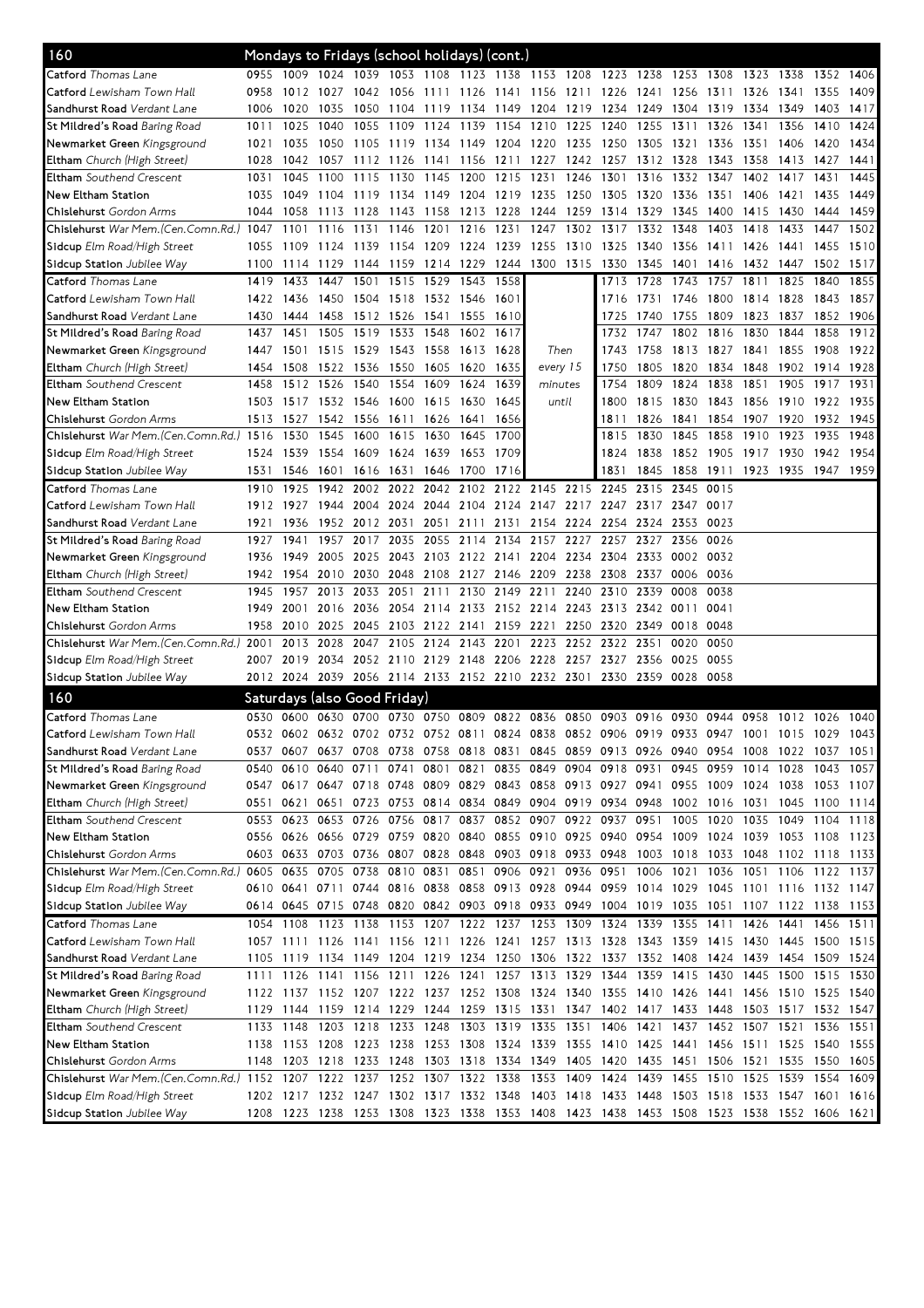| 160                                                                                       |      | Mondays to Fridays (school holidays) (cont.)                                              |                          |                          |                |                |                |           |                                                   |                     |           |                |           |           |                                                                                 |           |           |      |
|-------------------------------------------------------------------------------------------|------|-------------------------------------------------------------------------------------------|--------------------------|--------------------------|----------------|----------------|----------------|-----------|---------------------------------------------------|---------------------|-----------|----------------|-----------|-----------|---------------------------------------------------------------------------------|-----------|-----------|------|
| Catford Thomas Lane                                                                       | 0955 | 1009 1024 1039 1053 1108 1123 1138 1153 1208 1223 1238 1253 1308 1323 1338                |                          |                          |                |                |                |           |                                                   |                     |           |                |           |           |                                                                                 |           | 1352 1406 |      |
| <b>Catford</b> Lewisham Town Hall                                                         | 0958 |                                                                                           | 1012 1027                | 1042                     |                |                |                |           |                                                   |                     |           |                |           |           | 1056 1111 1126 1141 1156 1211 1226 1241 1256 1311 1326 1341                     |           | 1355      | 1409 |
| Sandhurst Road Verdant Lane                                                               | 1006 | 1020                                                                                      | 1035                     | 1050                     | 1104           |                | 1119 1134 1149 |           | 1204 1219                                         |                     | 1234      | 1249 1304      |           | 1319      | 1334                                                                            | 1349      | 1403      | 1417 |
| St Mildred's Road Baring Road                                                             | 1011 | 1025                                                                                      | 1040                     | 1055                     | 1109           | 1124 1139      |                | 1154      | 1210                                              | 1225                | 1240      | 1255           | 1311      | 1326      | 1341                                                                            | 1356      | 1410      | 1424 |
| Newmarket Green Kingsground                                                               | 1021 | 1035                                                                                      | 1050                     | 1105                     | 1119 1134 1149 |                |                | 1204      | 1220                                              | 1235                | 1250      | 1305           | 1321      | 1336      | 1351                                                                            | 1406      | 1420      | 1434 |
| <b>Eltham</b> Church (High Street)                                                        | 1028 | 1042                                                                                      | 1057                     | 1112                     | 1126           | 1141 1156      |                | 1211      | 1227                                              | 1242                | 1257      | 1312           | 1328      | 1343      | 1358                                                                            | 1413      | 1427      | 1441 |
| Eltham Southend Crescent                                                                  | 1031 | 1045                                                                                      | 1100                     | 1115                     |                | 1130 1145      | 1200           | 1215      | 1231                                              | 1246                | 1301      | 1316           | 1332      | 1347      | 1402                                                                            | 1417      | 1431      | 1445 |
| New Eltham Station                                                                        | 1035 | 1049                                                                                      | 1104 1119                |                          | 1134 1149 1204 |                |                | 1219 1235 |                                                   | 1250                |           | 1305 1320 1336 |           | 1351 1406 |                                                                                 | 1421      | 1435      | 1449 |
| Chislehurst Gordon Arms                                                                   | 1044 | 1058                                                                                      | 1113 1128                |                          |                | 1143 1158 1213 |                | 1228      | 1244                                              | 1259                | 1314      | 1329           | 1345      | 1400      | 1415                                                                            | 1430      | 1444      | 1459 |
| Chislehurst War Mem.(Cen.Comn.Rd.) 1047                                                   |      | 1101                                                                                      | 1116                     | 1131                     | 1146           | 1201           | 1216           | 1231      | 1247                                              | 1302                | 1317      | 1332           | 1348      | 1403      | 1418                                                                            | 1433      | 1447      | 1502 |
| Sidcup Elm Road/High Street                                                               | 1055 | -1109                                                                                     | 1124 1139                |                          |                | 1154 1209 1224 |                | 1239 1255 |                                                   | 1310                | 1325      | 1340           | 1356      | 1411      | 1426                                                                            | 1441      | 1455      | 1510 |
| Sidcup Station Jubilee Way                                                                | 1100 | 1114                                                                                      | 1129 1144                |                          |                | 1159 1214 1229 |                |           | 1244 1300 1315                                    |                     | 1330      | 1345           | 1401      | 1416      | 1432 1447                                                                       |           | 1502      | 1517 |
| <b>Catford</b> Thomas Lane                                                                | 1419 | 1433                                                                                      | 1447                     | 1501                     | 1515           | 1529           | 1543           | 1558      |                                                   |                     | 1713      | 1728           | 1743      | 1757      | 1811                                                                            | 1825      | 1840      | 1855 |
| Catford Lewisham Town Hall                                                                | 1422 | 1436                                                                                      | 1450 1504 1518 1532 1546 |                          |                |                |                | 1601      |                                                   |                     | 1716      | 1731           | 1746      | 1800      | 1814 1828                                                                       |           | 1843      | 1857 |
| Sandhurst Road Verdant Lane                                                               | 1430 | 1444                                                                                      |                          | 1458 1512 1526 1541 1555 |                |                |                | 1610      |                                                   |                     | 1725      | 1740           | 1755      | 1809      | 1823                                                                            | 1837      | 1852 1906 |      |
| St Mildred's Road Baring Road                                                             | 1437 | 1451                                                                                      |                          | 1505 1519                | 1533           | 1548           | 1602           | 1617      |                                                   |                     | 1732      | 1747           | 1802      | 1816      | 1830                                                                            | 1844      | 1858      | 1912 |
| <b>Newmarket Green</b> Kingsground                                                        | 1447 | 1501                                                                                      | 1515 1529                |                          | 1543 1558 1613 |                |                | 1628      | Then                                              |                     | 1743      | 1758           | 1813 1827 |           | 1841                                                                            | 1855      | 1908      | 1922 |
| <b>Eltham</b> Church (High Street)                                                        | 1454 | 1508                                                                                      | 1522 1536                |                          | 1550           | 1605           | 1620           | 1635      | every 15                                          |                     | 1750      | 1805           | 1820      | 1834      | 1848                                                                            | 1902      | 1914      | 1928 |
| Eltham Southend Crescent                                                                  | 1458 | 1512                                                                                      | 1526                     | 1540                     | 1554           | 1609           | 1624           | 1639      | minutes                                           |                     | 1754      | 1809           | 1824      | 1838      | 1851                                                                            | 1905      | 1917      | 1931 |
| New Eltham Station                                                                        | 1503 |                                                                                           | 1517 1532 1546           |                          |                | 1600 1615 1630 |                | 1645      | until                                             |                     | 1800      | 1815           | 1830      | 1843      | 1856                                                                            | 1910      | 1922 1935 |      |
| Chislehurst Gordon Arms                                                                   | 1513 | 1527                                                                                      | 1542 1556                |                          |                | 1611 1626 1641 |                | 1656      |                                                   |                     | 1811      | 1826           | 1841      | 1854      | 1907 1920                                                                       |           | 1932 1945 |      |
| Chislehurst War Mem. (Cen. Comn. Rd.) 1516                                                |      | 1530                                                                                      | 1545                     | 1600                     | 1615           | 1630           | 1645           | 1700      |                                                   |                     | 1815      | 1830           | 1845      | 1858      | 1910                                                                            | 1923      | 1935      | 1948 |
| Sidcup Elm Road/High Street                                                               | 1524 | 1539                                                                                      | 1554 1609                |                          | 1624 1639      |                | 1653           | 1709      |                                                   |                     | 1824      | 1838           | 1852      | 1905      | 1917 1930                                                                       |           | 1942      | 1954 |
| Sidcup Station Jubilee Way                                                                | 1531 | 1546                                                                                      | 1601 1616                |                          | 1631 1646 1700 |                |                | 1716      |                                                   |                     | 1831      | 1845           | 1858      | 1911      | 1923 1935                                                                       |           | 1947      | 1959 |
| Catford Thomas Lane                                                                       | 1910 | 1925                                                                                      | 1942                     | 2002                     | 2022           | 2042           | 2102           |           | 2122 2145 2215                                    |                     | 2245      | 2315           | 2345      | 0015      |                                                                                 |           |           |      |
| <b>Catford</b> Lewisham Town Hall                                                         | 1912 | 1927                                                                                      |                          | 1944 2004                |                | 2024 2044 2104 |                |           | 2124 2147 2217 2247                               |                     |           | 2317           | 2347      | 0017      |                                                                                 |           |           |      |
| Sandhurst Road Verdant Lane                                                               | 1921 | 1936                                                                                      |                          | 1952 2012 2031           |                | 2051           | 2111           | 2131      |                                                   | 2154 2224 2254 2324 |           |                | 2353      | 0023      |                                                                                 |           |           |      |
| St Mildred's Road Baring Road                                                             | 1927 | 1941                                                                                      |                          | 1957 2017                | 2035           | 2055 2114      |                | 2134      |                                                   | 2157 2227 2257      |           | 2327           | 2356      | 0026      |                                                                                 |           |           |      |
| <b>Newmarket Green</b> Kingsground                                                        | 1936 | 1949                                                                                      |                          | 2005 2025                |                |                |                |           | 2043 2103 2122 2141 2204 2234 2304                |                     |           |                | 2333 0002 | 0032      |                                                                                 |           |           |      |
| Eltham Church (High Street)                                                               | 1942 | 1954                                                                                      | 2010 2030                |                          |                |                |                |           | 2048 2108 2127 2146 2209 2238                     |                     | 2308      | 2337           | 0006      | 0036      |                                                                                 |           |           |      |
| <b>Eltham</b> Southend Crescent                                                           | 1945 | 1957                                                                                      | 2013                     | 2033                     | 2051           | 2111           | 2130           | 2149      | 2211                                              | 2240                | 2310      | 2339           | 0008      | 0038      |                                                                                 |           |           |      |
| New Eltham Station                                                                        | 1949 | 2001                                                                                      |                          | 2016 2036                |                | 2054 2114 2133 |                |           | 2152 2214 2243 2313                               |                     |           | 2342 0011      |           | 0041      |                                                                                 |           |           |      |
| Chislehurst Gordon Arms                                                                   | 1958 | 2010                                                                                      | 2025 2045                |                          | 2103 2122 2141 |                |                | 2159 2221 |                                                   | 2250                | 2320      | 2349           | 0018      | 0048      |                                                                                 |           |           |      |
| Chislehurst War Mem.(Cen.Comn.Rd.)                                                        | 2001 | 2013                                                                                      | 2028                     | 2047                     |                | 2105 2124 2143 |                | 2201      | 2223                                              |                     | 2252 2322 | 2351           | 0020      | 0050      |                                                                                 |           |           |      |
| Sidcup Elm Road/High Street                                                               | 2007 | 2019                                                                                      |                          |                          |                |                |                |           | 2034 2052 2110 2129 2148 2206 2228 2257 2327      |                     |           | 2356           | 0025      | 0055      |                                                                                 |           |           |      |
| Sidcup Station Jubilee Way                                                                |      | 2012 2024 2039 2056 2114 2133 2152 2210 2232 2301 2330 2359 0028 0058                     |                          |                          |                |                |                |           |                                                   |                     |           |                |           |           |                                                                                 |           |           |      |
|                                                                                           |      |                                                                                           |                          |                          |                |                |                |           |                                                   |                     |           |                |           |           |                                                                                 |           |           |      |
| 160                                                                                       |      | Saturdays (also Good Friday)                                                              |                          |                          |                |                |                |           |                                                   |                     |           |                |           |           |                                                                                 |           |           |      |
| Catford Thomas Lane                                                                       |      | 0530 0600 0630 0700 0730 0750 0809 0822 0836                                              |                          |                          |                |                |                |           |                                                   | 0850                |           | 0903 0916 0930 |           | 0944      | 0958                                                                            | 1012 1026 |           | 1040 |
| <b>Catford</b> Lewisham Town Hall                                                         |      | 0532 0602 0632 0702 0732 0752 0811 0824 0838 0852 0906 0919 0933 0947 1001 1015           |                          |                          |                |                |                |           |                                                   |                     |           |                |           |           |                                                                                 |           | 1029      | 1043 |
| Sandhurst Road Verdant Lane                                                               |      | 0537 0607 0637 0708 0738 0758 0818 0831 0845 0859 0913 0926 0940 0954 1008 1022 1037 1051 |                          |                          |                |                |                |           |                                                   |                     |           |                |           |           |                                                                                 |           |           |      |
| St Mildred's Road <i>Baring Road</i>                                                      | 0540 | 0610                                                                                      | 0640 0711                |                          |                |                |                |           | 0741 0801 0821 0835 0849 0904 0918 0931 0945 0959 |                     |           |                |           |           | 1014 1028                                                                       |           | 1043 1057 |      |
| Newmarket Green Kingsground                                                               |      | 0547 0617 0647 0718 0748 0809 0829 0843 0858 0913 0927 0941 0955 1009 1024 1038 1053 1107 |                          |                          |                |                |                |           |                                                   |                     |           |                |           |           |                                                                                 |           |           |      |
| Eltham Church (High Street)                                                               | 0551 | 0621                                                                                      |                          |                          |                |                |                |           |                                                   |                     |           |                |           |           | 0651 0723 0753 0814 0834 0849 0904 0919 0934 0948 1002 1016 1031 1045 1100 1114 |           |           |      |
| <b>Eltham</b> Southend Crescent                                                           |      | 0553 0623 0653 0726                                                                       |                          |                          |                |                |                |           | 0756 0817 0837 0852 0907 0922 0937 0951 1005 1020 |                     |           |                |           |           | 1035 1049 1104 1118                                                             |           |           |      |
| New Eltham Station                                                                        |      | 0556 0626 0656 0729                                                                       |                          |                          |                |                |                |           |                                                   |                     |           |                |           |           | 0759 0820 0840 0855 0910 0925 0940 0954 1009 1024 1039 1053 1108 1123           |           |           |      |
| Chislehurst Gordon Arms                                                                   |      | 0603 0633 0703 0736                                                                       |                          |                          |                |                |                |           |                                                   |                     |           |                |           |           | 0807 0828 0848 0903 0918 0933 0948 1003 1018 1033 1048 1102 1118 1133           |           |           |      |
| Chislehurst War Mem.(Cen.Comn.Rd.) 0605                                                   |      | 0635 0705 0738                                                                            |                          |                          |                |                |                |           |                                                   |                     |           |                |           |           | 0810 0831 0851 0906 0921 0936 0951 1006 1021 1036 1051 1106 1122 1137           |           |           |      |
| Sidcup Elm Road/High Street                                                               |      | 0610 0641 0711 0744 0816 0838 0858 0913 0928 0944 0959 1014 1029 1045 1101 1116 1132 1147 |                          |                          |                |                |                |           |                                                   |                     |           |                |           |           |                                                                                 |           |           |      |
| Sidcup Station Jubilee Way                                                                |      | 0614 0645 0715 0748 0820 0842 0903 0918 0933 0949 1004 1019 1035 1051 1107 1122 1138 1153 |                          |                          |                |                |                |           |                                                   |                     |           |                |           |           |                                                                                 |           |           |      |
| Catford Thomas Lane                                                                       | 1054 | 1108                                                                                      | 1123 1138                |                          |                |                |                |           | 1153 1207 1222 1237 1253 1309 1324 1339 1355      |                     |           |                |           | 1411      | 1426                                                                            | 1441      | 1456 1511 |      |
| Catford Lewisham Town Hall                                                                |      | 1057 1111 1126 1141 1156 1211 1226 1241 1257 1313 1328 1343 1359 1415 1430 1445 1500 1515 |                          |                          |                |                |                |           |                                                   |                     |           |                |           |           |                                                                                 |           |           |      |
| Sandhurst Road <i>Verdant Lane</i>                                                        |      | 1105 1119 1134 1149 1204 1219 1234 1250 1306 1322 1337 1352 1408 1424 1439 1454 1509 1524 |                          |                          |                |                |                |           |                                                   |                     |           |                |           |           |                                                                                 |           |           |      |
| St Mildred's Road <i>Baring Road</i>                                                      | 1111 | 1126 1141 1156 1211 1226 1241 1257 1313 1329 1344 1359 1415 1430 1445 1500 1515 1530      |                          |                          |                |                |                |           |                                                   |                     |           |                |           |           |                                                                                 |           |           |      |
| Newmarket Green Kingsground                                                               |      | 1122 1137 1152 1207 1222 1237 1252 1308 1324 1340 1355 1410 1426 1441 1456 1510 1525 1540 |                          |                          |                |                |                |           |                                                   |                     |           |                |           |           |                                                                                 |           |           |      |
| Eltham Church (High Street)                                                               | 1129 | 1144 1159 1214 1229 1244 1259 1315 1331 1347 1402 1417 1433 1448                          |                          |                          |                |                |                |           |                                                   |                     |           |                |           |           | 1503 1517 1532 1547                                                             |           |           |      |
| Eltham Southend Crescent                                                                  | 1133 | 1148                                                                                      | 1203 1218                |                          |                |                |                |           | 1233 1248 1303 1319 1335 1351 1406 1421           |                     |           |                | 1437      |           | 1452 1507 1521                                                                  |           | 1536 1551 |      |
| New Eltham Station                                                                        |      | 1138 1153 1208 1223 1238 1253 1308 1324 1339 1355 1410 1425 1441 1456 1511 1525 1540 1555 |                          |                          |                |                |                |           |                                                   |                     |           |                |           |           |                                                                                 |           |           |      |
| <b>Chislehurst</b> Gordon Arms                                                            | 1148 | 1203 1218 1233 1248 1303 1318 1334 1349 1405 1420 1435 1451 1506 1521 1535                |                          |                          |                |                |                |           |                                                   |                     |           |                |           |           |                                                                                 |           | 1550 1605 |      |
| Chislehurst War Mem.(Cen.Comn.Rd.) 1152 1207 1222 1237 1252 1307 1322 1338 1353 1409 1424 |      |                                                                                           |                          |                          |                |                |                |           |                                                   |                     |           |                |           |           | 1439 1455 1510 1525 1539 1554 1609                                              |           |           |      |
| Sidcup Elm Road/High Street                                                               |      | 1202 1217 1232 1247 1302 1317 1332 1348 1403 1418 1433 1448 1503 1518 1533 1547 1601 1616 |                          |                          |                |                |                |           |                                                   |                     |           |                |           |           |                                                                                 |           |           |      |
| Sidcup Station Jubilee Way                                                                | 1208 | 1223 1238 1253 1308 1323 1338 1353 1408 1423 1438 1453 1508 1523 1538 1552 1606 1621      |                          |                          |                |                |                |           |                                                   |                     |           |                |           |           |                                                                                 |           |           |      |